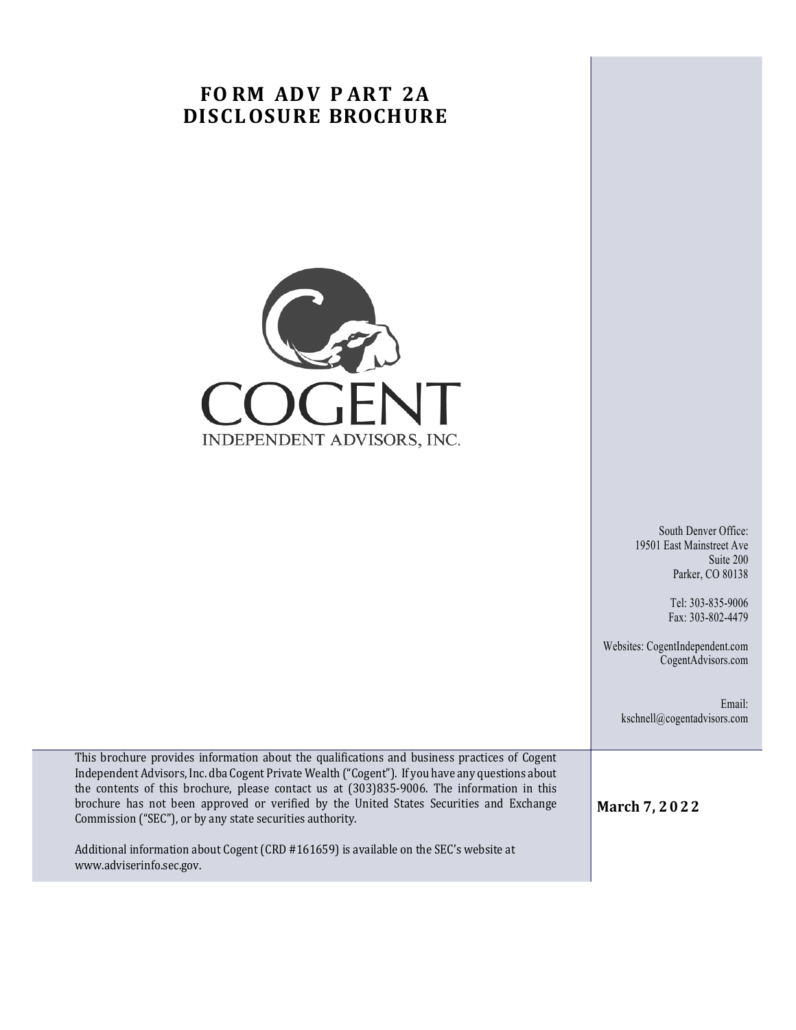## **FO RM ADV P ART 2A DISCLOSURE BROCHURE**



South Denver Office: 19501 East Mainstreet Ave Suite 200 Parker, CO 80138

> Tel: 303-835-9006 Fax: 303-802-4479

Websites: CogentIndependent.com CogentAdvisors.com

> Email: kschnell@cogentadvisors.com

This brochure provides information about the qualifications and business practices of Cogent Independent Advisors, Inc. dba Cogent Private Wealth ("Cogent"). If you have any questions about the contents of this brochure, please contact us at  $(303)835-9006$ . The information in this brochure has not been approved or verified by the United States Securities and Exchange Commission ("SEC"), or by any state securities authority.

Additional information about Cogent (CRD #161659) is available on the SEC's website at www.adviserinfo.sec.gov.

**March 7, 2022**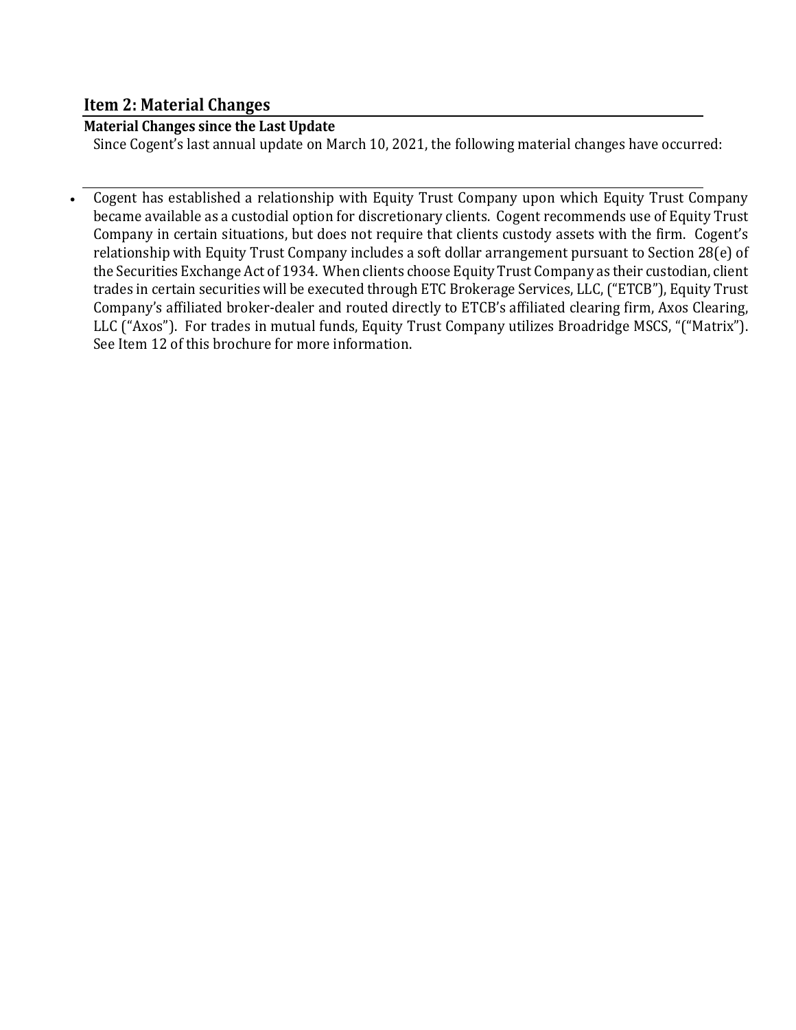## **Item 2: Material Changes**

## **Material Changes since the Last Update**

Since Cogent's last annual update on March 10, 2021, the following material changes have occurred:

• Cogent has established a relationship with Equity Trust Company upon which Equity Trust Company became available as a custodial option for discretionary clients. Cogent recommends use of Equity Trust Company in certain situations, but does not require that clients custody assets with the firm. Cogent's relationship with Equity Trust Company includes a soft dollar arrangement pursuant to Section 28(e) of the Securities Exchange Act of 1934. When clients choose Equity Trust Company as their custodian, client trades in certain securities will be executed through ETC Brokerage Services, LLC, ("ETCB"), Equity Trust Company's affiliated broker-dealer and routed directly to ETCB's affiliated clearing firm, Axos Clearing, LLC ("Axos"). For trades in mutual funds, Equity Trust Company utilizes Broadridge MSCS, "("Matrix"). See Item 12 of this brochure for more information.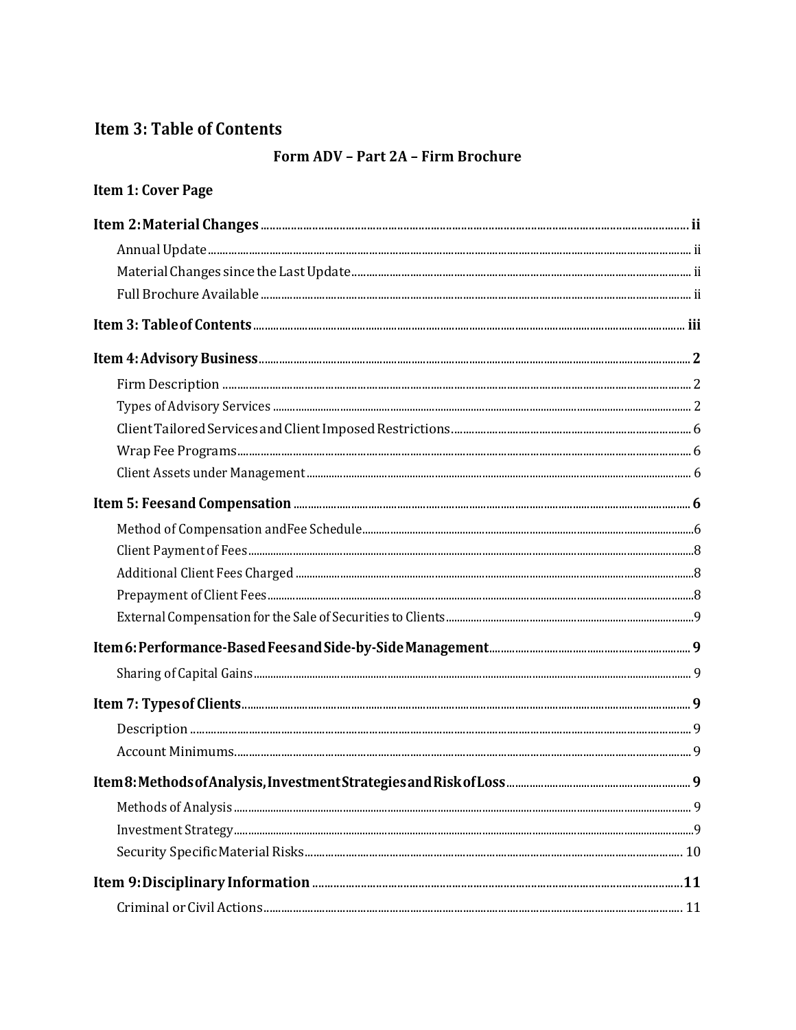## **Item 3: Table of Contents**

## Form ADV - Part 2A - Firm Brochure

| Item 1: Cover Page |  |
|--------------------|--|
|                    |  |
|                    |  |
|                    |  |
|                    |  |
|                    |  |
|                    |  |
|                    |  |
|                    |  |
|                    |  |
|                    |  |
|                    |  |
|                    |  |
|                    |  |
|                    |  |
|                    |  |
|                    |  |
|                    |  |
|                    |  |
|                    |  |
|                    |  |
|                    |  |
|                    |  |
|                    |  |
|                    |  |
|                    |  |
|                    |  |
|                    |  |
|                    |  |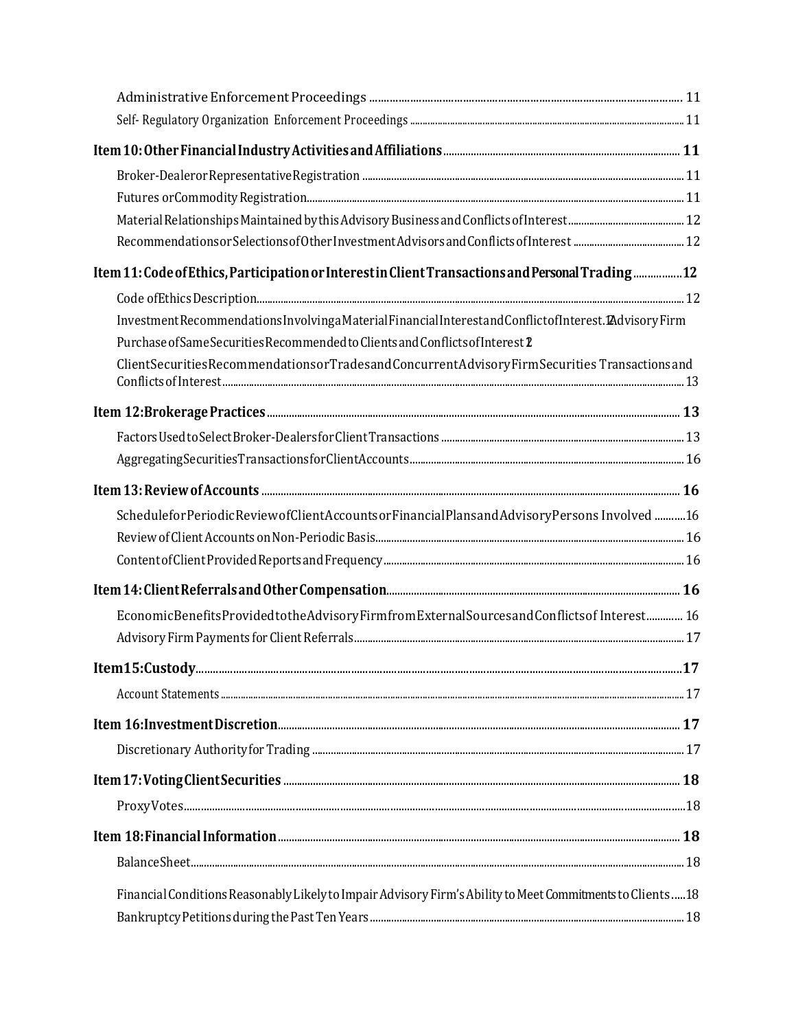| Item 11: Code of Ethics, Participation or Interest in Client Transactions and Personal Trading  12        |  |
|-----------------------------------------------------------------------------------------------------------|--|
|                                                                                                           |  |
| InvestmentRecommendationsInvolvingaMaterialFinancialInterestandConflictofInterest.2AdvisoryFirm           |  |
| Purchase of Same Securities Recommended to Clients and Conflicts of Interest 2                            |  |
| ClientSecuritiesRecommendationsorTradesandConcurrentAdvisoryFirmSecuritiesTransactionsand                 |  |
|                                                                                                           |  |
|                                                                                                           |  |
|                                                                                                           |  |
|                                                                                                           |  |
| ScheduleforPeriodicReviewofClientAccountsorFinancialPlansandAdvisoryPersons Involved 16                   |  |
|                                                                                                           |  |
|                                                                                                           |  |
|                                                                                                           |  |
| EconomicBenefitsProvidedtotheAdvisoryFirmfromExternalSourcesandConflictsof Interest 16                    |  |
|                                                                                                           |  |
|                                                                                                           |  |
|                                                                                                           |  |
|                                                                                                           |  |
|                                                                                                           |  |
|                                                                                                           |  |
| ${\tt ProxyVotes.}\label{thm:co} \noindent {\tt ProxyVotes.}\label{thm:co}$                               |  |
|                                                                                                           |  |
|                                                                                                           |  |
| Financial Conditions Reasonably Likely to Impair Advisory Firm's Ability to Meet Commitments to Clients18 |  |
|                                                                                                           |  |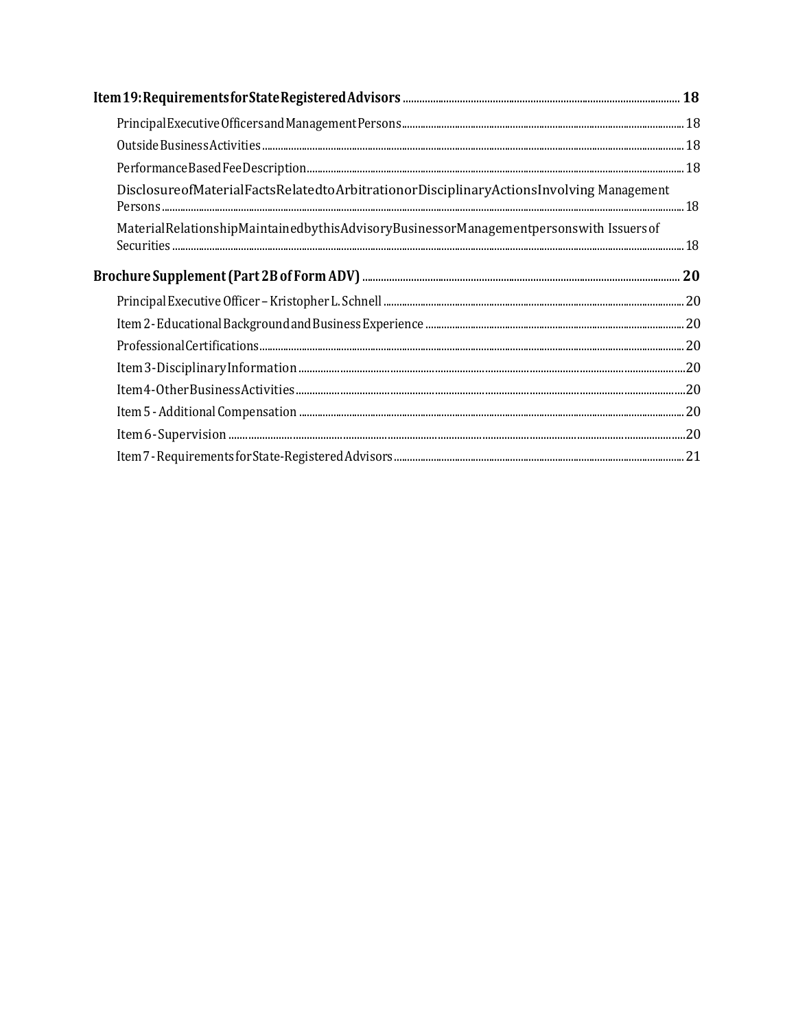| Disclosure of Material Facts Related to Arbitration or Disciplinary Actions Involving Management |  |
|--------------------------------------------------------------------------------------------------|--|
| MaterialRelationshipMaintainedbythisAdvisoryBusinessorManagementpersonswith Issuers of           |  |
|                                                                                                  |  |
|                                                                                                  |  |
|                                                                                                  |  |
|                                                                                                  |  |
|                                                                                                  |  |
|                                                                                                  |  |
|                                                                                                  |  |
|                                                                                                  |  |
|                                                                                                  |  |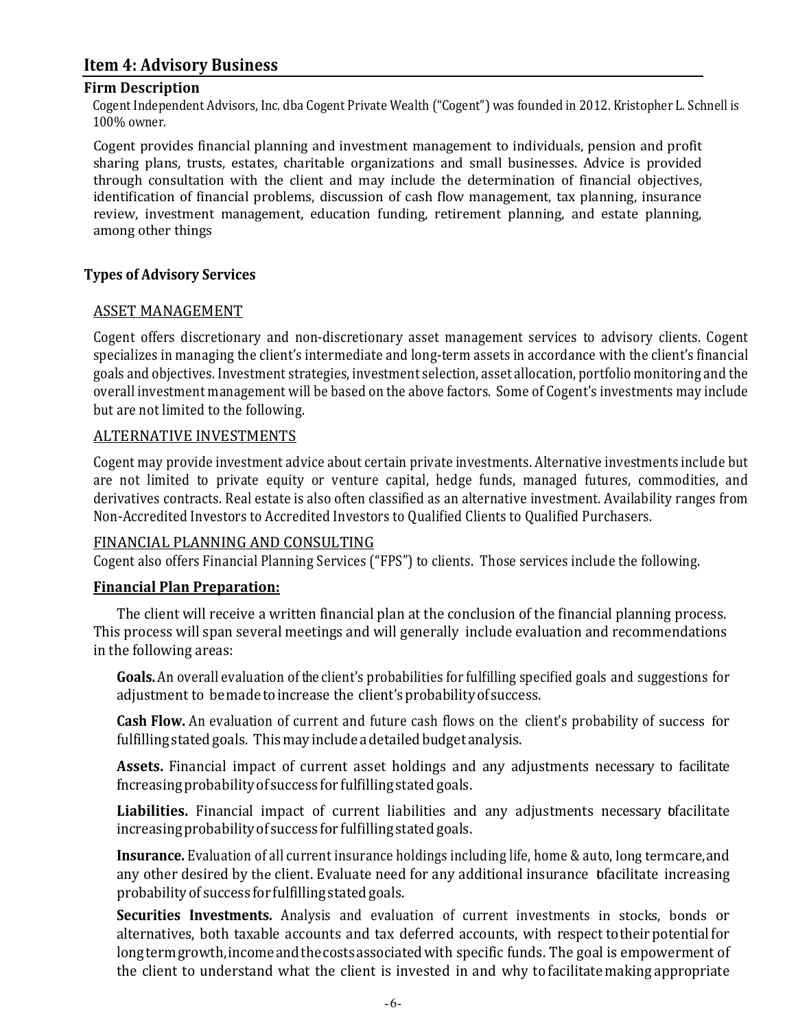## **Item 4: Advisory Business**

#### **Firm Description**

Cogent Independent Advisors, Inc. dba Cogent Private Wealth ("Cogent") was founded in 2012. Kristopher L. Schnell is 100% owner.

Cogent provides financial planning and investment management to individuals, pension and profit sharing plans, trusts, estates, charitable organizations and small businesses. Advice is provided through consultation with the client and may include the determination of financial objectives, identification of financial problems, discussion of cash flow management, tax planning, insurance review, investment management, education funding, retirement planning, and estate planning, among other things

#### **Types of Advisory Services**

#### ASSET MANAGEMENT

Cogent offers discretionary and non-discretionary asset management services to advisory clients. Cogent specializes in managing the client's intermediate and long-term assets in accordance with the client's financial goals and objectives. Investment strategies, investment selection, asset allocation, portfolio monitoring and the overall investment management will be based on the above factors. Some of Cogent's investments may include but are not limited to the following.

#### **ALTERNATIVE INVESTMENTS**

Cogent may provide investment advice about certain private investments. Alternative investments include but are not limited to private equity or venture capital, hedge funds, managed futures, commodities, and derivatives contracts. Real estate is also often classified as an alternative investment. Availability ranges from Non-Accredited Investors to Accredited Investors to Qualified Clients to Qualified Purchasers.

#### FINANCIAL PLANNING AND CONSULTING

Cogent also offers Financial Planning Services ("FPS") to clients. Those services include the following.

#### **Financial Plan Preparation:**

The client will receive a written financial plan at the conclusion of the financial planning process. This process will span several meetings and will generally include evaluation and recommendations in the following areas:

**Goals.** An overall evaluation of the client's probabilities for fulfilling specified goals and suggestions for adjustment to be made to increase the client's probability of success.

**Cash Flow.** An evaluation of current and future cash flows on the client's probability of success for fulfilling stated goals. This may include a detailed budget analysis.

**Assets.** Financial impact of current asset holdings and any adjustments necessary to facilitate fincreasingprobability of success for fulfilling stated goals.

Liabilities. Financial impact of current liabilities and any adjustments necessary bfacilitate increasingprobabilityof success for fulfilling stated goals.

**Insurance.** Evaluation of all current insurance holdings including life, home & auto, long termcare, and any other desired by the client. Evaluate need for any additional insurance bfacilitate increasing probabilityof success for fulfilling stated goals.

**Securities Investments.** Analysis and evaluation of current investments in stocks, bonds or alternatives, both taxable accounts and tax deferred accounts, with respect totheir potential for longterm growth, income and the costs associated with specific funds. The goal is empowerment of the client to understand what the client is invested in and why to facilitate making appropriate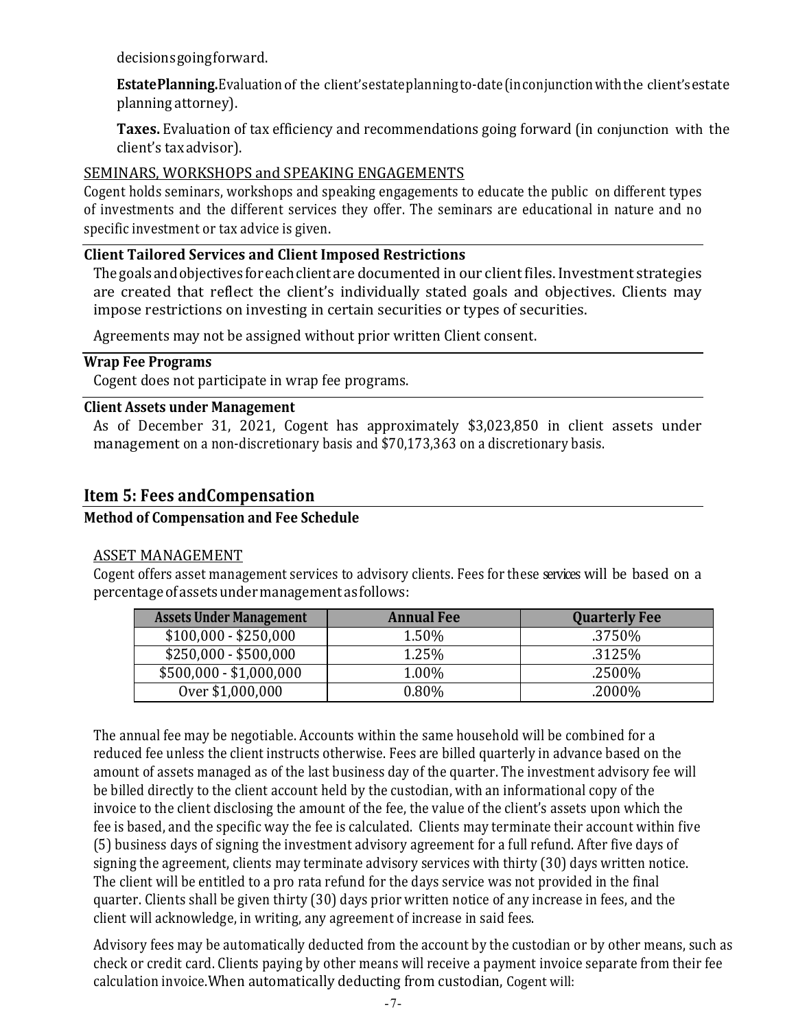decisionsgoingforward.

EstatePlanning. Evaluation of the client's estateplanning to-date (in conjunction with the client's estate planning attorney).

**Taxes.** Evaluation of tax efficiency and recommendations going forward (in conjunction with the client's tax advisor).

#### SEMINARS, WORKSHOPS and SPEAKING ENGAGEMENTS

Cogent holds seminars, workshops and speaking engagements to educate the public on different types of investments and the different services they offer. The seminars are educational in nature and no specific investment or tax advice is given.

#### **Client Tailored Services and Client Imposed Restrictions**

The goals and objectives for each client are documented in our client files. Investment strategies are created that reflect the client's individually stated goals and objectives. Clients may impose restrictions on investing in certain securities or types of securities.

Agreements may not be assigned without prior written Client consent.

#### **Wrap Fee Programs**

Cogent does not participate in wrap fee programs.

#### **Client Assets under Management**

As of December 31, 2021, Cogent has approximately \$3,023,850 in client assets under management on a non-discretionary basis and \$70,173,363 on a discretionary basis.

## **Item 5: Fees and Compensation**

#### **Method of Compensation and Fee Schedule**

#### ASSET MANAGEMENT

Cogent offers asset management services to advisory clients. Fees for these services will be based on a percentage of assetsundermanagement as follows:

| <b>Assets Under Management</b> | <b>Annual Fee</b> | <b>Quarterly Fee</b> |
|--------------------------------|-------------------|----------------------|
| $$100,000 - $250,000$          | 1.50%             | .3750%               |
| $$250,000 - $500,000$          | 1.25%             | .3125%               |
| $$500,000 - $1,000,000$        | 1.00%             | .2500%               |
| Over \$1,000,000               | 0.80%             | .2000%               |

The annual fee may be negotiable. Accounts within the same household will be combined for a reduced fee unless the client instructs otherwise. Fees are billed quarterly in advance based on the amount of assets managed as of the last business day of the quarter. The investment advisory fee will be billed directly to the client account held by the custodian, with an informational copy of the invoice to the client disclosing the amount of the fee, the value of the client's assets upon which the fee is based, and the specific way the fee is calculated. Clients may terminate their account within five (5) business days of signing the investment advisory agreement for a full refund. After five days of signing the agreement, clients may terminate advisory services with thirty (30) days written notice. The client will be entitled to a pro rata refund for the days service was not provided in the final quarter. Clients shall be given thirty (30) days prior written notice of any increase in fees, and the client will acknowledge, in writing, any agreement of increase in said fees.

Advisory fees may be automatically deducted from the account by the custodian or by other means, such as check or credit card. Clients paying by other means will receive a payment invoice separate from their fee calculation invoice. When automatically deducting from custodian, Cogent will: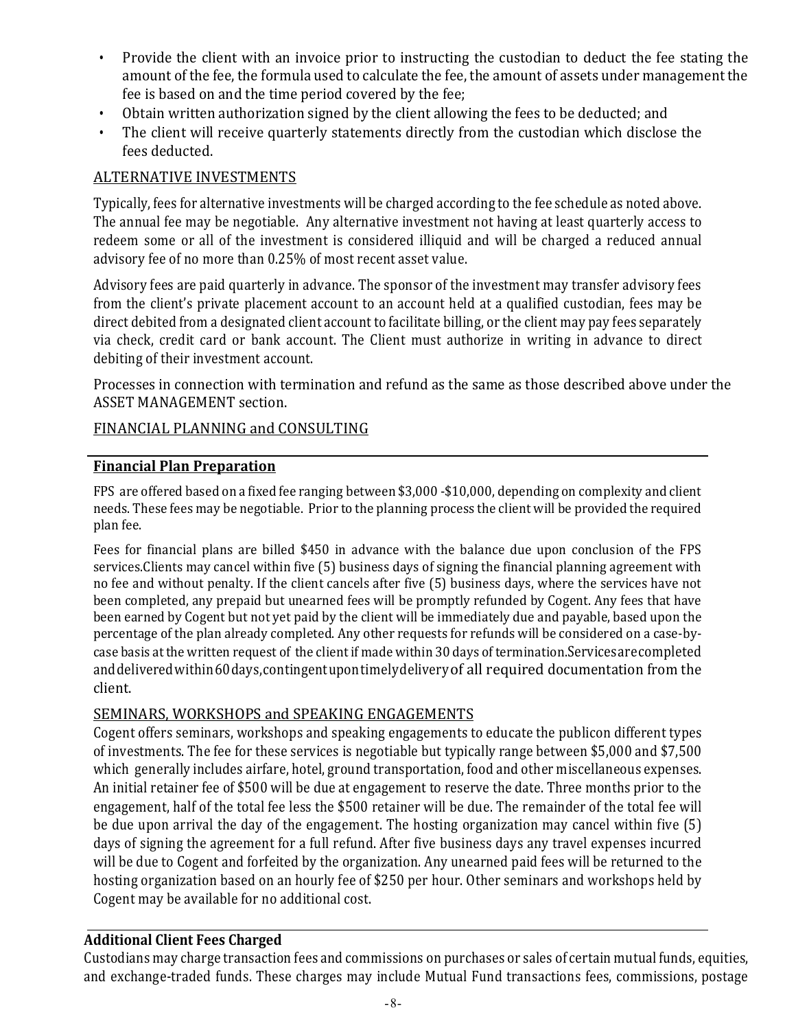- Provide the client with an invoice prior to instructing the custodian to deduct the fee stating the amount of the fee, the formula used to calculate the fee, the amount of assets under management the fee is based on and the time period covered by the fee;
- Obtain written authorization signed by the client allowing the fees to be deducted; and
- The client will receive quarterly statements directly from the custodian which disclose the fees deducted.

## **ALTERNATIVE INVESTMENTS**

Typically, fees for alternative investments will be charged according to the fee schedule as noted above. The annual fee may be negotiable. Any alternative investment not having at least quarterly access to redeem some or all of the investment is considered illiquid and will be charged a reduced annual advisory fee of no more than 0.25% of most recent asset value.

Advisory fees are paid quarterly in advance. The sponsor of the investment may transfer advisory fees from the client's private placement account to an account held at a qualified custodian, fees may be direct debited from a designated client account to facilitate billing, or the client may pay fees separately via check, credit card or bank account. The Client must authorize in writing in advance to direct debiting of their investment account.

Processes in connection with termination and refund as the same as those described above under the ASSET MANAGEMENT section.

#### FINANCIAL PLANNING and CONSULTING

## **Financial Plan Preparation**

FPS are offered based on a fixed fee ranging between \$3,000 -\$10,000, depending on complexity and client needs. These fees may be negotiable. Prior to the planning process the client will be provided the required plan fee.

Fees for financial plans are billed \$450 in advance with the balance due upon conclusion of the FPS services.Clients may cancel within five (5) business days of signing the financial planning agreement with no fee and without penalty. If the client cancels after five (5) business days, where the services have not been completed, any prepaid but unearned fees will be promptly refunded by Cogent. Any fees that have been earned by Cogent but not yet paid by the client will be immediately due and payable, based upon the percentage of the plan already completed. Any other requests for refunds will be considered on a case-bycase basis at the written request of the client if made within 30 days of termination.Services are completed and delivered within 60 days, contingentupon timely delivery of all required documentation from the client.

#### SEMINARS, WORKSHOPS and SPEAKING ENGAGEMENTS

Cogent offers seminars, workshops and speaking engagements to educate the publicon different types of investments. The fee for these services is negotiable but typically range between \$5,000 and \$7,500 which generally includes airfare, hotel, ground transportation, food and other miscellaneous expenses. An initial retainer fee of \$500 will be due at engagement to reserve the date. Three months prior to the engagement, half of the total fee less the \$500 retainer will be due. The remainder of the total fee will be due upon arrival the day of the engagement. The hosting organization may cancel within five  $(5)$ days of signing the agreement for a full refund. After five business days any travel expenses incurred will be due to Cogent and forfeited by the organization. Any unearned paid fees will be returned to the hosting organization based on an hourly fee of \$250 per hour. Other seminars and workshops held by Cogent may be available for no additional cost.

## **Additional Client Fees Charged**

Custodians may charge transaction fees and commissions on purchases or sales of certain mutual funds, equities, and exchange-traded funds. These charges may include Mutual Fund transactions fees, commissions, postage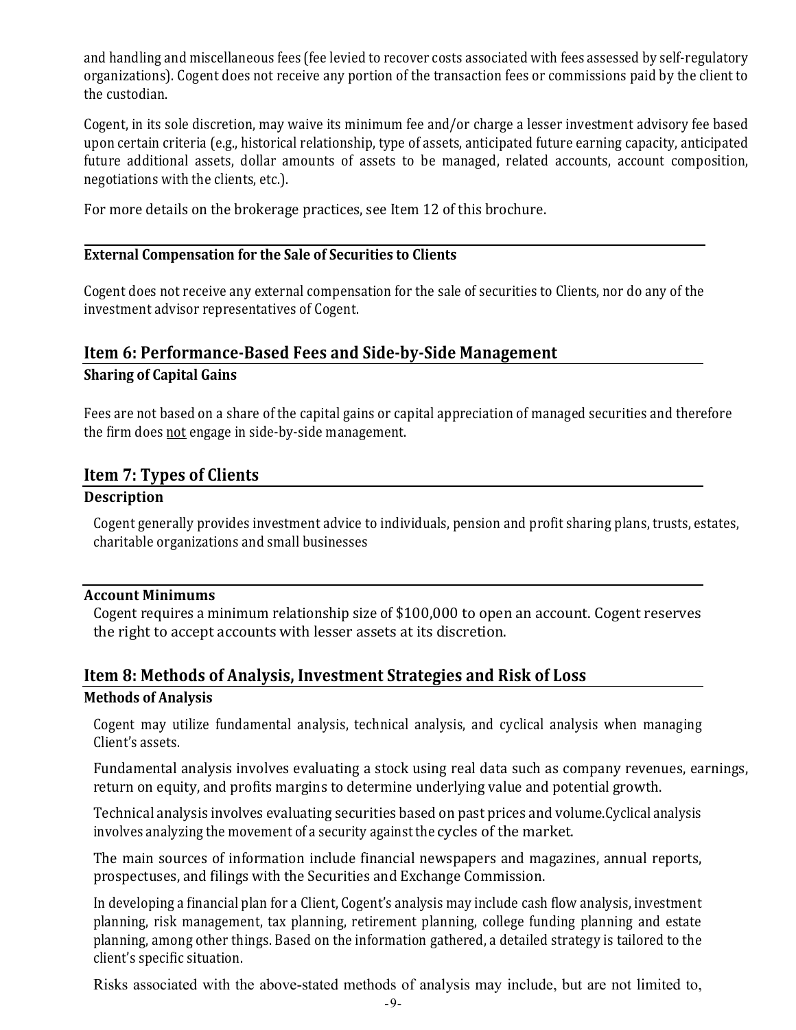and handling and miscellaneous fees (fee levied to recover costs associated with fees assessed by self-regulatory organizations). Cogent does not receive any portion of the transaction fees or commissions paid by the client to the custodian.

Cogent, in its sole discretion, may waive its minimum fee and/or charge a lesser investment advisory fee based upon certain criteria (e.g., historical relationship, type of assets, anticipated future earning capacity, anticipated future additional assets, dollar amounts of assets to be managed, related accounts, account composition, negotiations with the clients, etc.).

For more details on the brokerage practices, see Item 12 of this brochure.

#### **External Compensation for the Sale of Securities to Clients**

Cogent does not receive any external compensation for the sale of securities to Clients, nor do any of the investment advisor representatives of Cogent.

## **Item 6: Performance-Based Fees and Side-by-Side Management Sharing of Capital Gains**

Fees are not based on a share of the capital gains or capital appreciation of managed securities and therefore the firm does not engage in side-by-side management.

#### **Item 7: Types of Clients**

#### **Description**

Cogent generally provides investment advice to individuals, pension and profit sharing plans, trusts, estates, charitable organizations and small businesses

#### **Account Minimums**

Cogent requires a minimum relationship size of  $$100,000$  to open an account. Cogent reserves the right to accept accounts with lesser assets at its discretion.

# **Item 8: Methods of Analysis, Investment Strategies and Risk of Loss**

## **Methods of Analysis**

Cogent may utilize fundamental analysis, technical analysis, and cyclical analysis when managing Client's assets.

Fundamental analysis involves evaluating a stock using real data such as company revenues, earnings, return on equity, and profits margins to determine underlying value and potential growth.

Technical analysis involves evaluating securities based on past prices and volume.Cyclical analysis involves analyzing the movement of a security against the cycles of the market.

The main sources of information include financial newspapers and magazines, annual reports, prospectuses, and filings with the Securities and Exchange Commission.

In developing a financial plan for a Client, Cogent's analysis may include cash flow analysis, investment planning, risk management, tax planning, retirement planning, college funding planning and estate planning, among other things. Based on the information gathered, a detailed strategy is tailored to the client's specific situation.

Risks associated with the above-stated methods of analysis may include, but are not limited to,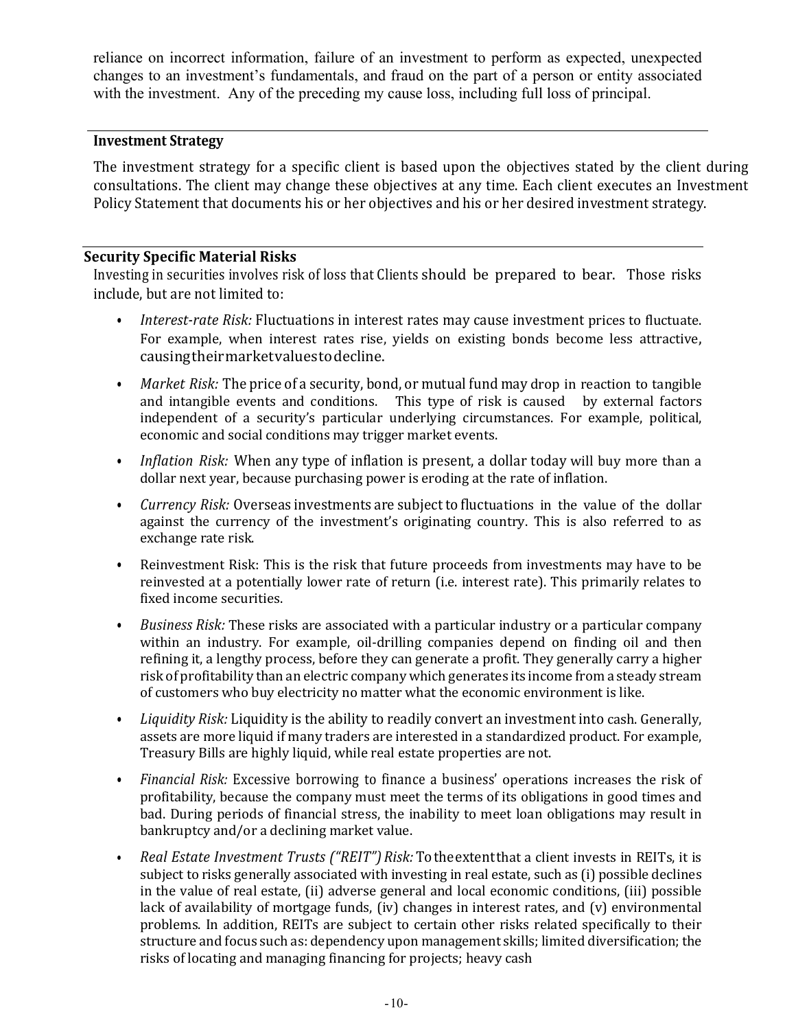reliance on incorrect information, failure of an investment to perform as expected, unexpected changes to an investment's fundamentals, and fraud on the part of a person or entity associated with the investment. Any of the preceding my cause loss, including full loss of principal.

#### **Investment Strategy**

The investment strategy for a specific client is based upon the objectives stated by the client during consultations. The client may change these objectives at any time. Each client executes an Investment Policy Statement that documents his or her objectives and his or her desired investment strategy.

#### **Security Specific Material Risks**

Investing in securities involves risk of loss that Clients should be prepared to bear. Those risks include, but are not limited to:

- *Interest-rate Risk:* Fluctuations in interest rates may cause investment prices to fluctuate. For example, when interest rates rise, yields on existing bonds become less attractive, causingtheirmarketvaluestodecline.
- *Market Risk:* The price of a security, bond, or mutual fund may drop in reaction to tangible and intangible events and conditions. This type of risk is caused by external factors independent of a security's particular underlying circumstances. For example, political, economic and social conditions may trigger market events.
- *Inflation Risk:* When any type of inflation is present, a dollar today will buy more than a dollar next year, because purchasing power is eroding at the rate of inflation.
- *Currency Risk:* Overseas investments are subject to fluctuations in the value of the dollar against the currency of the investment's originating country. This is also referred to as exchange rate risk.
- Reinvestment Risk: This is the risk that future proceeds from investments may have to be reinvested at a potentially lower rate of return (i.e. interest rate). This primarily relates to fixed income securities.
- *Business Risk:* These risks are associated with a particular industry or a particular company within an industry. For example, oil-drilling companies depend on finding oil and then refining it, a lengthy process, before they can generate a profit. They generally carry a higher risk of profitability than an electric company which generates its income from a steady stream of customers who buy electricity no matter what the economic environment is like.
- Liquidity Risk: Liquidity is the ability to readily convert an investment into cash. Generally, assets are more liquid if many traders are interested in a standardized product. For example, Treasury Bills are highly liquid, while real estate properties are not.
- Financial Risk: Excessive borrowing to finance a business' operations increases the risk of profitability, because the company must meet the terms of its obligations in good times and bad. During periods of financial stress, the inability to meet loan obligations may result in bankruptcy and/or a declining market value.
- Real Estate Investment Trusts ("REIT") Risk: Tothe extent that a client invests in REITs, it is subject to risks generally associated with investing in real estate, such as (i) possible declines in the value of real estate, (ii) adverse general and local economic conditions, (iii) possible lack of availability of mortgage funds, (iv) changes in interest rates, and (v) environmental problems. In addition, REITs are subject to certain other risks related specifically to their structure and focus such as: dependency upon management skills; limited diversification; the risks of locating and managing financing for projects; heavy cash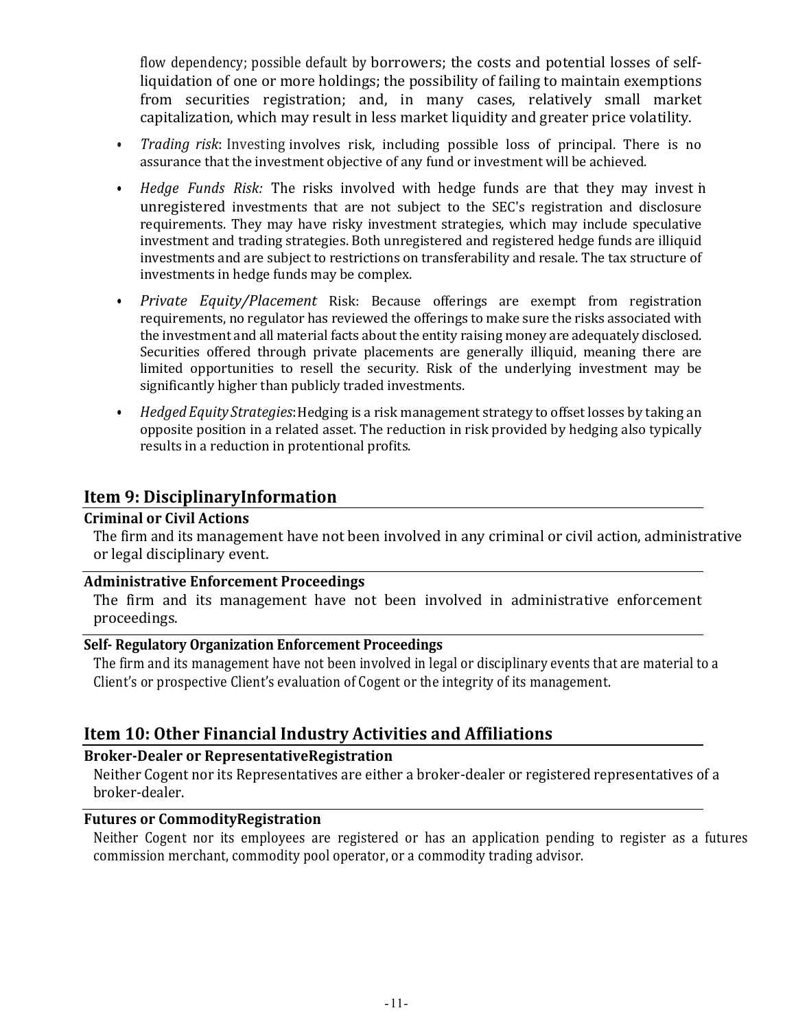flow dependency; possible default by borrowers; the costs and potential losses of selfliquidation of one or more holdings; the possibility of failing to maintain exemptions from securities registration; and, in many cases, relatively small market capitalization, which may result in less market liquidity and greater price volatility.

- *Trading risk*: Investing involves risk, including possible loss of principal. There is no assurance that the investment objective of any fund or investment will be achieved.
- *Hedge Funds Risk:* The risks involved with hedge funds are that they may invest in unregistered investments that are not subject to the SEC's registration and disclosure requirements. They may have risky investment strategies, which may include speculative investment and trading strategies. Both unregistered and registered hedge funds are illiquid investments and are subject to restrictions on transferability and resale. The tax structure of investments in hedge funds may be complex.
- *Private Equity/Placement* Risk: Because offerings are exempt from registration requirements, no regulator has reviewed the offerings to make sure the risks associated with the investment and all material facts about the entity raising money are adequately disclosed. Securities offered through private placements are generally illiquid, meaning there are limited opportunities to resell the security. Risk of the underlying investment may be significantly higher than publicly traded investments.
- *Hedged Equity Strategies*: Hedging is a risk management strategy to offset losses by taking an opposite position in a related asset. The reduction in risk provided by hedging also typically results in a reduction in protentional profits.

## **Item 9: DisciplinaryInformation**

#### **Criminal or Civil Actions**

The firm and its management have not been involved in any criminal or civil action, administrative or legal disciplinary event.

#### **Administrative Enforcement Proceedings**

The firm and its management have not been involved in administrative enforcement proceedings.

## **Self- Regulatory Organization Enforcement Proceedings**

The firm and its management have not been involved in legal or disciplinary events that are material to a Client's or prospective Client's evaluation of Cogent or the integrity of its management.

## **Item 10: Other Financial Industry Activities and Affiliations**

#### **Broker-Dealer or RepresentativeRegistration**

Neither Cogent nor its Representatives are either a broker-dealer or registered representatives of a broker-dealer.

### **Futures or CommodityRegistration**

Neither Cogent nor its employees are registered or has an application pending to register as a futures commission merchant, commodity pool operator, or a commodity trading advisor.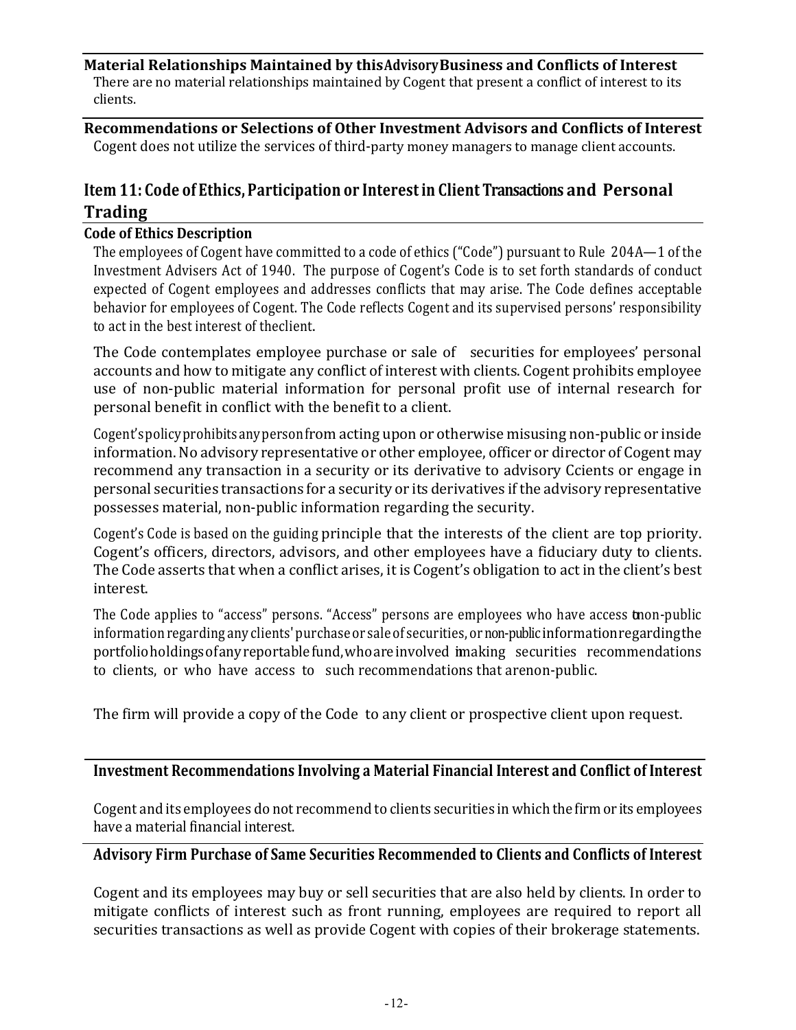**Material Relationships Maintained by thisAdvisoryBusiness and Conflicts of Interest** There are no material relationships maintained by Cogent that present a conflict of interest to its clients.

**Recommendations or Selections of Other Investment Advisors and Conflicts of Interest** Cogent does not utilize the services of third-party money managers to manage client accounts.

## **Item 11: Code of Ethics, Participation or Interestin Client Transactions and Personal Trading**

#### **Code of Ethics Description**

The employees of Cogent have committed to a code of ethics ("Code") pursuant to Rule 204A—1 of the Investment Advisers Act of 1940. The purpose of Cogent's Code is to set forth standards of conduct expected of Cogent employees and addresses conflicts that may arise. The Code defines acceptable behavior for employees of Cogent. The Code reflects Cogent and its supervised persons' responsibility to act in the best interest of theclient.

The Code contemplates employee purchase or sale of securities for employees' personal accounts and how to mitigate any conflict of interest with clients. Cogent prohibits employee use of non-public material information for personal profit use of internal research for personal benefit in conflict with the benefit to a client.

Cogent's policy prohibits any person from acting upon or otherwise misusing non-public or inside information. No advisory representative or other employee, officer or director of Cogent may recommend any transaction in a security or its derivative to advisory Ccients or engage in personal securities transactions for a security or its derivatives if the advisory representative possesses material, non-public information regarding the security.

Cogent's Code is based on the guiding principle that the interests of the client are top priority. Cogent's officers, directors, advisors, and other employees have a fiduciary duty to clients. The Code asserts that when a conflict arises, it is Cogent's obligation to act in the client's best interest.

The Code applies to "access" persons. "Access" persons are employees who have access toon-public information regarding any clients' purchase or sale of securities, or non-public informationregardingthe portfolioholdings of any reportable fund, who are involved imaking securities recommendations to clients, or who have access to such recommendations that arenon-public.

The firm will provide a copy of the Code to any client or prospective client upon request.

#### Investment Recommendations Involving a Material Financial Interest and Conflict of Interest

Cogent and its employees do not recommend to clients securities in which the firm or its employees have a material financial interest.

#### Advisory Firm Purchase of Same Securities Recommended to Clients and Conflicts of Interest

Cogent and its employees may buy or sell securities that are also held by clients. In order to mitigate conflicts of interest such as front running, employees are required to report all securities transactions as well as provide Cogent with copies of their brokerage statements.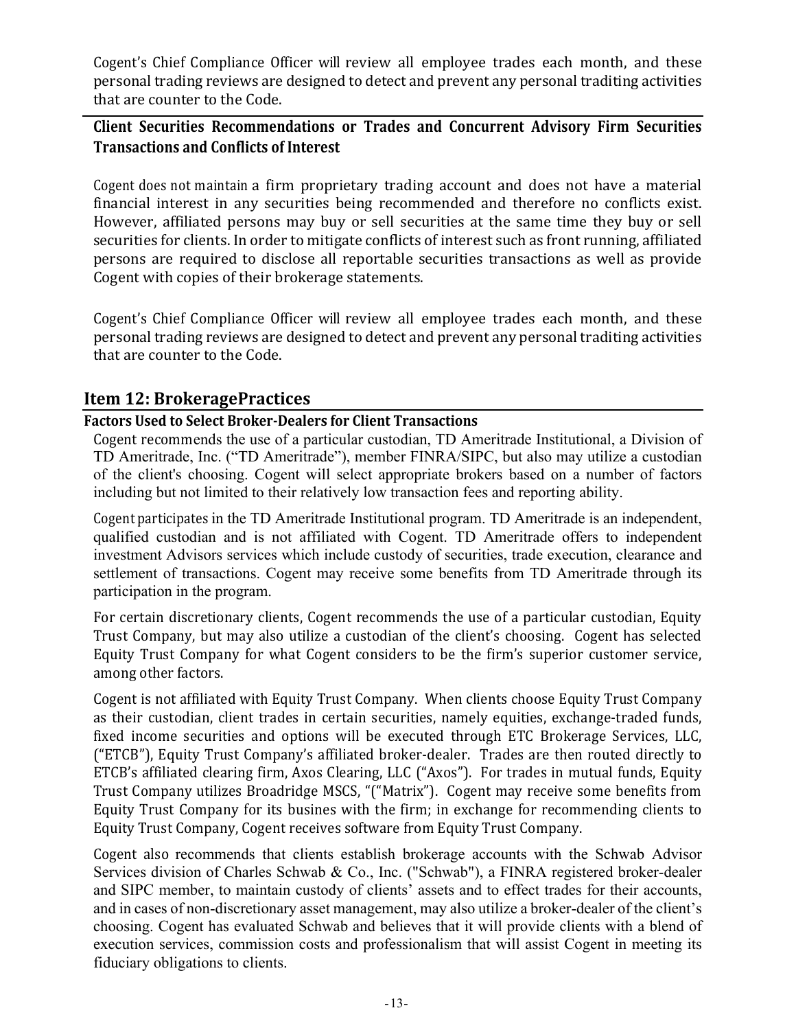Cogent's Chief Compliance Officer will review all employee trades each month, and these personal trading reviews are designed to detect and prevent any personal traditing activities that are counter to the Code.

## **Client Securities Recommendations or Trades and Concurrent Advisory Firm Securities Transactions and Conflicts of Interest**

Cogent does not maintain a firm proprietary trading account and does not have a material financial interest in any securities being recommended and therefore no conflicts exist. However, affiliated persons may buy or sell securities at the same time they buy or sell securities for clients. In order to mitigate conflicts of interest such as front running, affiliated persons are required to disclose all reportable securities transactions as well as provide Cogent with copies of their brokerage statements.

Cogent's Chief Compliance Officer will review all employee trades each month, and these personal trading reviews are designed to detect and prevent any personal traditing activities that are counter to the Code.

## **Item 12: BrokeragePractices**

#### Factors Used to Select Broker-Dealers for Client Transactions

Cogent recommends the use of a particular custodian, TD Ameritrade Institutional, a Division of TD Ameritrade, Inc. ("TD Ameritrade"), member FINRA/SIPC, but also may utilize a custodian of the client's choosing. Cogent will select appropriate brokers based on a number of factors including but not limited to their relatively low transaction fees and reporting ability.

Cogent participates in the TD Ameritrade Institutional program. TD Ameritrade is an independent, qualified custodian and is not affiliated with Cogent. TD Ameritrade offers to independent investment Advisors services which include custody of securities, trade execution, clearance and settlement of transactions. Cogent may receive some benefits from TD Ameritrade through its participation in the program.

For certain discretionary clients, Cogent recommends the use of a particular custodian, Equity Trust Company, but may also utilize a custodian of the client's choosing. Cogent has selected Equity Trust Company for what Cogent considers to be the firm's superior customer service, among other factors.

Cogent is not affiliated with Equity Trust Company. When clients choose Equity Trust Company as their custodian, client trades in certain securities, namely equities, exchange-traded funds, fixed income securities and options will be executed through ETC Brokerage Services, LLC, ("ETCB"), Equity Trust Company's affiliated broker-dealer. Trades are then routed directly to ETCB's affiliated clearing firm, Axos Clearing, LLC ("Axos"). For trades in mutual funds, Equity Trust Company utilizes Broadridge MSCS, "("Matrix"). Cogent may receive some benefits from Equity Trust Company for its busines with the firm; in exchange for recommending clients to Equity Trust Company, Cogent receives software from Equity Trust Company.

Cogent also recommends that clients establish brokerage accounts with the Schwab Advisor Services division of Charles Schwab & Co., Inc. ("Schwab"), a FINRA registered broker-dealer and SIPC member, to maintain custody of clients' assets and to effect trades for their accounts, and in cases of non-discretionary asset management, may also utilize a broker-dealer of the client's choosing. Cogent has evaluated Schwab and believes that it will provide clients with a blend of execution services, commission costs and professionalism that will assist Cogent in meeting its fiduciary obligations to clients.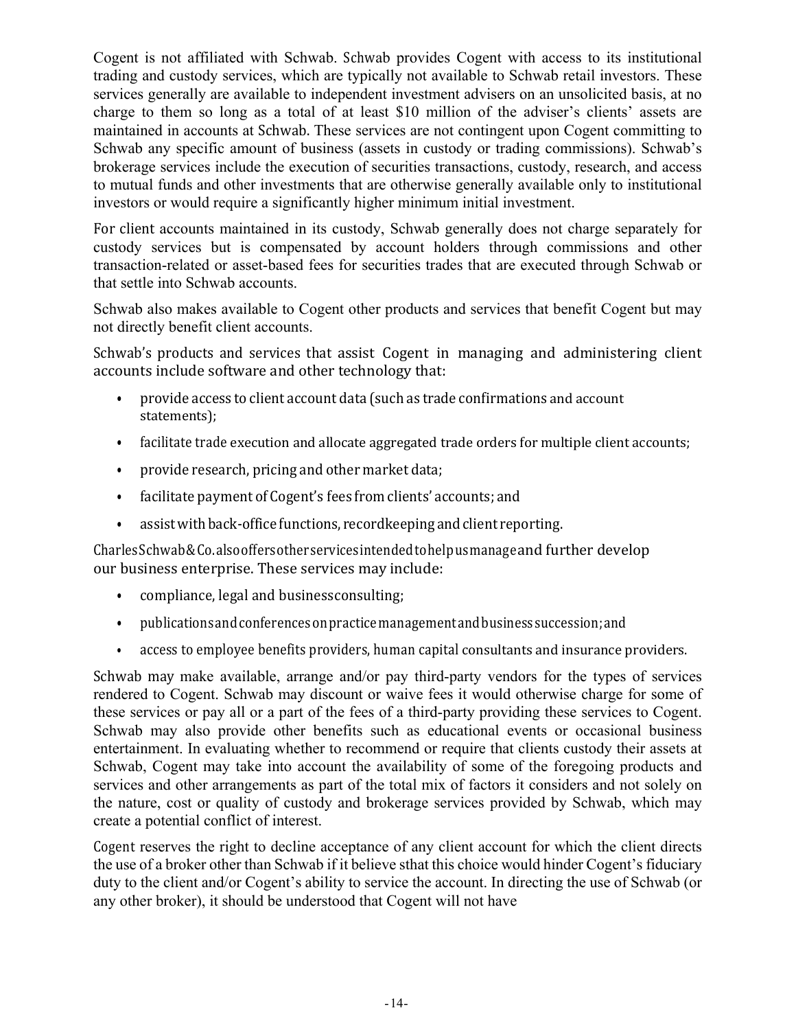Cogent is not affiliated with Schwab. Schwab provides Cogent with access to its institutional trading and custody services, which are typically not available to Schwab retail investors. These services generally are available to independent investment advisers on an unsolicited basis, at no charge to them so long as a total of at least \$10 million of the adviser's clients' assets are maintained in accounts at Schwab. These services are not contingent upon Cogent committing to Schwab any specific amount of business (assets in custody or trading commissions). Schwab's brokerage services include the execution of securities transactions, custody, research, and access to mutual funds and other investments that are otherwise generally available only to institutional investors or would require a significantly higher minimum initial investment.

For client accounts maintained in its custody, Schwab generally does not charge separately for custody services but is compensated by account holders through commissions and other transaction-related or asset-based fees for securities trades that are executed through Schwab or that settle into Schwab accounts.

Schwab also makes available to Cogent other products and services that benefit Cogent but may not directly benefit client accounts.

Schwab's products and services that assist Cogent in managing and administering client accounts include software and other technology that:

- provide access to client account data (such as trade confirmations and account statements);
- facilitate trade execution and allocate aggregated trade orders for multiple client accounts;
- provide research, pricing and other market data;
- facilitate payment of Cogent's fees from clients' accounts; and
- assist with back-office functions, recordkeeping and client reporting.

CharlesSchwab&Co.alsooffersotherservicesintended to helpusmanage and further develop our business enterprise. These services may include:

- compliance, legal and business consulting;
- publicationsandconferencesonpracticemanagementandbusinesssuccession;and
- access to employee benefits providers, human capital consultants and insurance providers.

Schwab may make available, arrange and/or pay third-party vendors for the types of services rendered to Cogent. Schwab may discount or waive fees it would otherwise charge for some of these services or pay all or a part of the fees of a third-party providing these services to Cogent. Schwab may also provide other benefits such as educational events or occasional business entertainment. In evaluating whether to recommend or require that clients custody their assets at Schwab, Cogent may take into account the availability of some of the foregoing products and services and other arrangements as part of the total mix of factors it considers and not solely on the nature, cost or quality of custody and brokerage services provided by Schwab, which may create a potential conflict of interest.

Cogent reserves the right to decline acceptance of any client account for which the client directs the use of a broker other than Schwab if it believe sthat this choice would hinder Cogent's fiduciary duty to the client and/or Cogent's ability to service the account. In directing the use of Schwab (or any other broker), it should be understood that Cogent will not have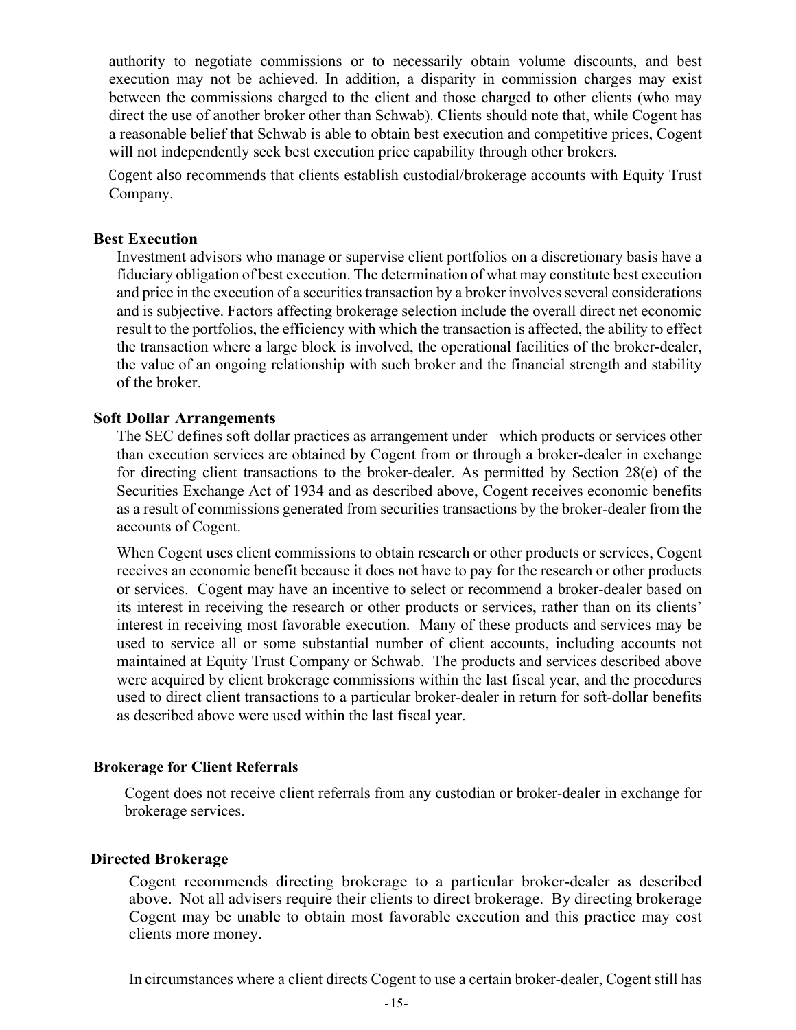authority to negotiate commissions or to necessarily obtain volume discounts, and best execution may not be achieved. In addition, a disparity in commission charges may exist between the commissions charged to the client and those charged to other clients (who may direct the use of another broker other than Schwab). Clients should note that, while Cogent has a reasonable belief that Schwab is able to obtain best execution and competitive prices, Cogent will not independently seek best execution price capability through other brokers.

Cogent also recommends that clients establish custodial/brokerage accounts with Equity Trust Company.

#### **Best Execution**

Investment advisors who manage or supervise client portfolios on a discretionary basis have a fiduciary obligation of best execution. The determination of what may constitute best execution and price in the execution of a securities transaction by a broker involves several considerations and is subjective. Factors affecting brokerage selection include the overall direct net economic result to the portfolios, the efficiency with which the transaction is affected, the ability to effect the transaction where a large block is involved, the operational facilities of the broker-dealer, the value of an ongoing relationship with such broker and the financial strength and stability of the broker.

#### **Soft Dollar Arrangements**

The SEC defines soft dollar practices as arrangement under which products or services other than execution services are obtained by Cogent from or through a broker-dealer in exchange for directing client transactions to the broker-dealer. As permitted by Section 28(e) of the Securities Exchange Act of 1934 and as described above, Cogent receives economic benefits as a result of commissions generated from securities transactions by the broker-dealer from the accounts of Cogent.

When Cogent uses client commissions to obtain research or other products or services, Cogent receives an economic benefit because it does not have to pay for the research or other products or services. Cogent may have an incentive to select or recommend a broker-dealer based on its interest in receiving the research or other products or services, rather than on its clients' interest in receiving most favorable execution. Many of these products and services may be used to service all or some substantial number of client accounts, including accounts not maintained at Equity Trust Company or Schwab. The products and services described above were acquired by client brokerage commissions within the last fiscal year, and the procedures used to direct client transactions to a particular broker-dealer in return for soft-dollar benefits as described above were used within the last fiscal year.

#### **Brokerage for Client Referrals**

Cogent does not receive client referrals from any custodian or broker-dealer in exchange for brokerage services.

#### **Directed Brokerage**

Cogent recommends directing brokerage to a particular broker-dealer as described above. Not all advisers require their clients to direct brokerage. By directing brokerage Cogent may be unable to obtain most favorable execution and this practice may cost clients more money.

In circumstances where a client directs Cogent to use a certain broker-dealer, Cogent still has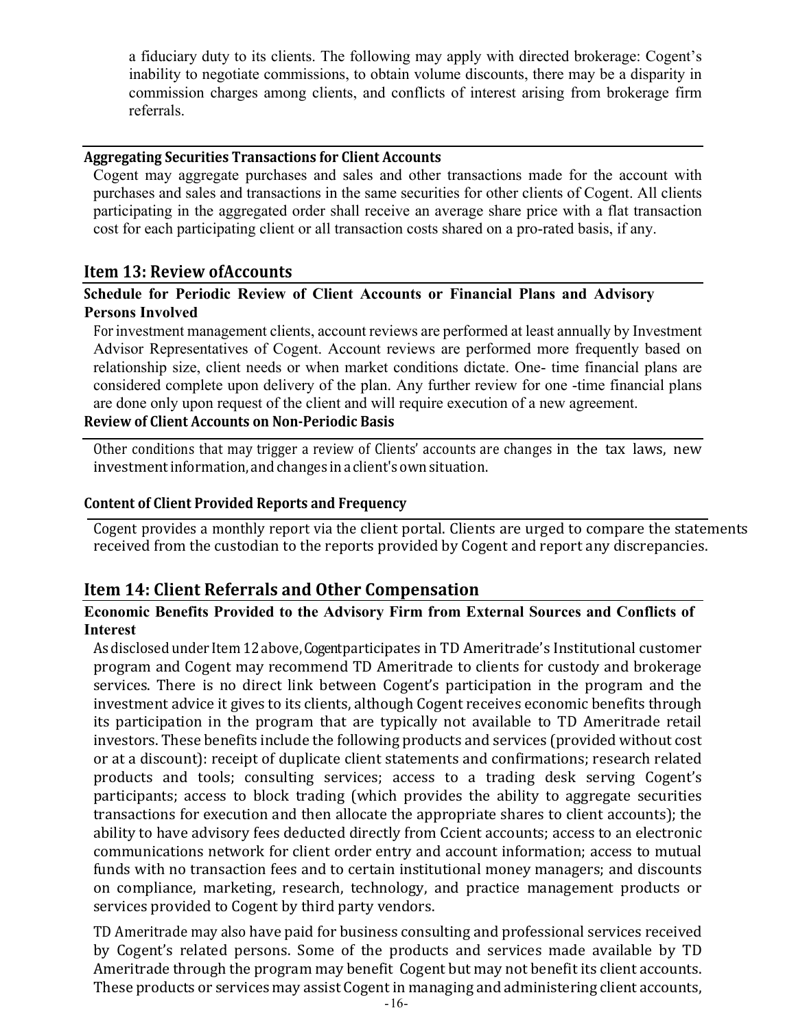a fiduciary duty to its clients. The following may apply with directed brokerage: Cogent's inability to negotiate commissions, to obtain volume discounts, there may be a disparity in commission charges among clients, and conflicts of interest arising from brokerage firm referrals.

#### **Aggregating Securities Transactions for Client Accounts**

Cogent may aggregate purchases and sales and other transactions made for the account with purchases and sales and transactions in the same securities for other clients of Cogent. All clients participating in the aggregated order shall receive an average share price with a flat transaction cost for each participating client or all transaction costs shared on a pro-rated basis, if any.

#### **Item 13: Review ofAccounts**

#### **Schedule for Periodic Review of Client Accounts or Financial Plans and Advisory Persons Involved**

For investment management clients, account reviews are performed at least annually by Investment Advisor Representatives of Cogent. Account reviews are performed more frequently based on relationship size, client needs or when market conditions dictate. One- time financial plans are considered complete upon delivery of the plan. Any further review for one -time financial plans are done only upon request of the client and will require execution of a new agreement.

## **Review of Client Accounts on Non-Periodic Basis**

Other conditions that may trigger a review of Clients' accounts are changes in the tax laws, new investmentinformation, andchanges ina client'sownsituation.

#### **Content of Client Provided Reports and Frequency**

Cogent provides a monthly report via the client portal. Clients are urged to compare the statements received from the custodian to the reports provided by Cogent and report any discrepancies.

#### **Item 14: Client Referrals and Other Compensation**

#### **Economic Benefits Provided to the Advisory Firm from External Sources and Conflicts of Interest**

As disclosed under Item 12 above, Cogent participates in TD Ameritrade's Institutional customer program and Cogent may recommend TD Ameritrade to clients for custody and brokerage services. There is no direct link between Cogent's participation in the program and the investment advice it gives to its clients, although Cogent receives economic benefits through its participation in the program that are typically not available to TD Ameritrade retail investors. These benefits include the following products and services (provided without cost or at a discount): receipt of duplicate client statements and confirmations; research related products and tools; consulting services; access to a trading desk serving Cogent's participants; access to block trading (which provides the ability to aggregate securities transactions for execution and then allocate the appropriate shares to client accounts); the ability to have advisory fees deducted directly from Ccient accounts; access to an electronic communications network for client order entry and account information; access to mutual funds with no transaction fees and to certain institutional money managers; and discounts on compliance, marketing, research, technology, and practice management products or services provided to Cogent by third party vendors.

TD Ameritrade may also have paid for business consulting and professional services received by Cogent's related persons. Some of the products and services made available by TD Ameritrade through the program may benefit Cogent but may not benefit its client accounts. These products or services may assist Cogent in managing and administering client accounts,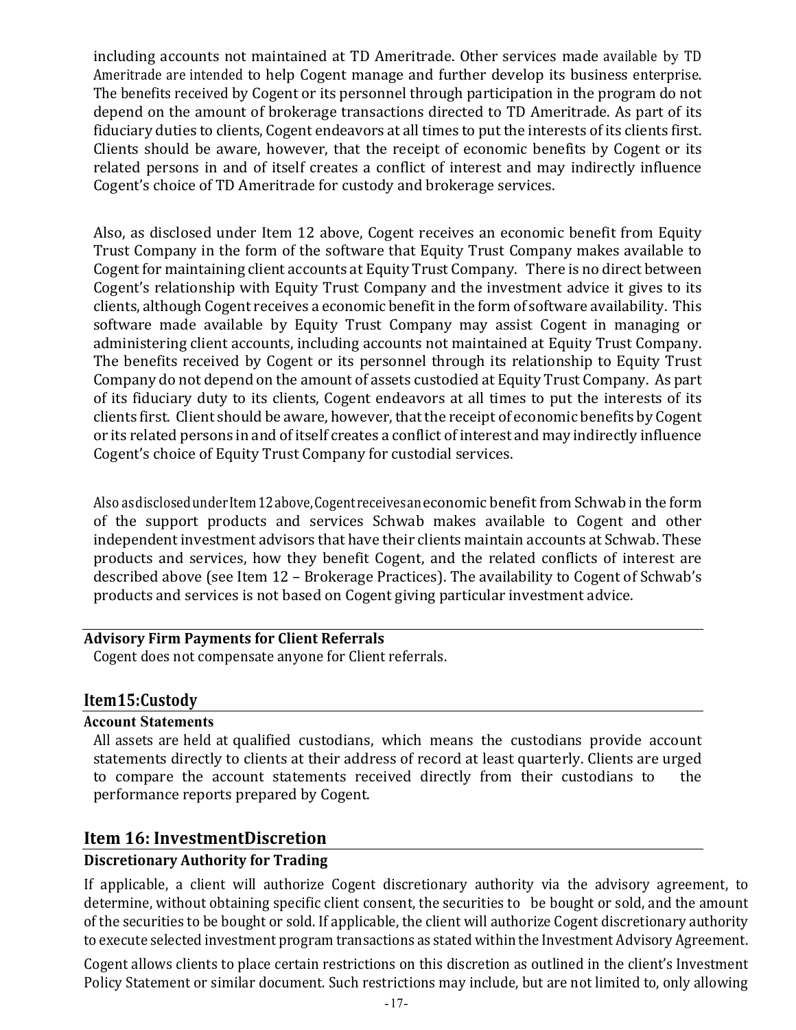including accounts not maintained at TD Ameritrade. Other services made available by TD Ameritrade are intended to help Cogent manage and further develop its business enterprise. The benefits received by Cogent or its personnel through participation in the program do not depend on the amount of brokerage transactions directed to TD Ameritrade. As part of its fiduciary duties to clients, Cogent endeavors at all times to put the interests of its clients first. Clients should be aware, however, that the receipt of economic benefits by Cogent or its related persons in and of itself creates a conflict of interest and may indirectly influence Cogent's choice of TD Ameritrade for custody and brokerage services.

Also, as disclosed under Item 12 above, Cogent receives an economic benefit from Equity Trust Company in the form of the software that Equity Trust Company makes available to Cogent for maintaining client accounts at Equity Trust Company. There is no direct between Cogent's relationship with Equity Trust Company and the investment advice it gives to its clients, although Cogent receives a economic benefit in the form of software availability. This software made available by Equity Trust Company may assist Cogent in managing or administering client accounts, including accounts not maintained at Equity Trust Company. The benefits received by Cogent or its personnel through its relationship to Equity Trust Company do not depend on the amount of assets custodied at Equity Trust Company. As part of its fiduciary duty to its clients, Cogent endeavors at all times to put the interests of its clients first. Client should be aware, however, that the receipt of economic benefits by Cogent or its related persons in and of itself creates a conflict of interest and may indirectly influence Cogent's choice of Equity Trust Company for custodial services.

Also asdisclosed under Item 12 above, Cogent receives an economic benefit from Schwab in the form of the support products and services Schwab makes available to Cogent and other independent investment advisors that have their clients maintain accounts at Schwab. These products and services, how they benefit Cogent, and the related conflicts of interest are described above (see Item 12 – Brokerage Practices). The availability to Cogent of Schwab's products and services is not based on Cogent giving particular investment advice.

#### **Advisory Firm Payments for Client Referrals**

Cogent does not compensate anyone for Client referrals.

#### **Item15:Custody**

#### **Account Statements**

All assets are held at qualified custodians, which means the custodians provide account statements directly to clients at their address of record at least quarterly. Clients are urged to compare the account statements received directly from their custodians to the performance reports prepared by Cogent.

## **Item 16: InvestmentDiscretion**

## **Discretionary Authority for Trading**

If applicable, a client will authorize Cogent discretionary authority via the advisory agreement, to determine, without obtaining specific client consent, the securities to be bought or sold, and the amount of the securities to be bought or sold. If applicable, the client will authorize Cogent discretionary authority to execute selected investment program transactions as stated within the Investment Advisory Agreement.

Cogent allows clients to place certain restrictions on this discretion as outlined in the client's Investment Policy Statement or similar document. Such restrictions may include, but are not limited to, only allowing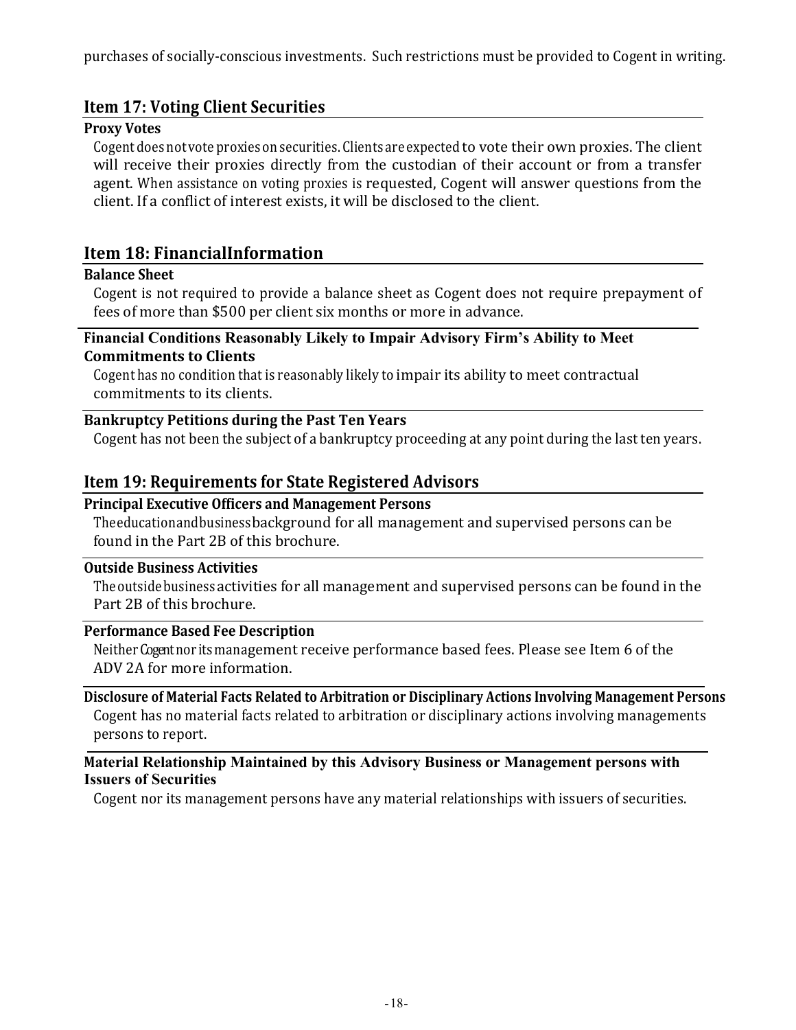## **Item 17: Voting Client Securities**

#### **Proxy Votes**

Cogent does not vote proxies on securities. Clients are expected to vote their own proxies. The client will receive their proxies directly from the custodian of their account or from a transfer agent. When assistance on voting proxies is requested, Cogent will answer questions from the client. If a conflict of interest exists, it will be disclosed to the client.

## **Item 18: FinancialInformation**

#### **Balance Sheet**

Cogent is not required to provide a balance sheet as Cogent does not require prepayment of fees of more than \$500 per client six months or more in advance.

#### **Financial Conditions Reasonably Likely to Impair Advisory Firm's Ability to Meet Commitments to Clients**

Cogent has no condition that is reasonably likely to impair its ability to meet contractual commitments to its clients.

## **Bankruptcy Petitions during the Past Ten Years**

Cogent has not been the subject of a bankruptcy proceeding at any point during the last ten years.

## **Item 19: Requirements for State Registered Advisors**

#### **Principal Executive Officers and Management Persons**

Theeducationandbusinessbackground for all management and supervised persons can be found in the Part 2B of this brochure.

#### **Outside Business Activities**

The outside business activities for all management and supervised persons can be found in the Part 2B of this brochure.

#### **Performance Based Fee Description**

Neither Cogent nor its management receive performance based fees. Please see Item 6 of the ADV 2A for more information.

Disclosure of Material Facts Related to Arbitration or Disciplinary Actions Involving Management Persons Cogent has no material facts related to arbitration or disciplinary actions involving managements persons to report.

#### **Material Relationship Maintained by this Advisory Business or Management persons with Issuers of Securities**

Cogent nor its management persons have any material relationships with issuers of securities.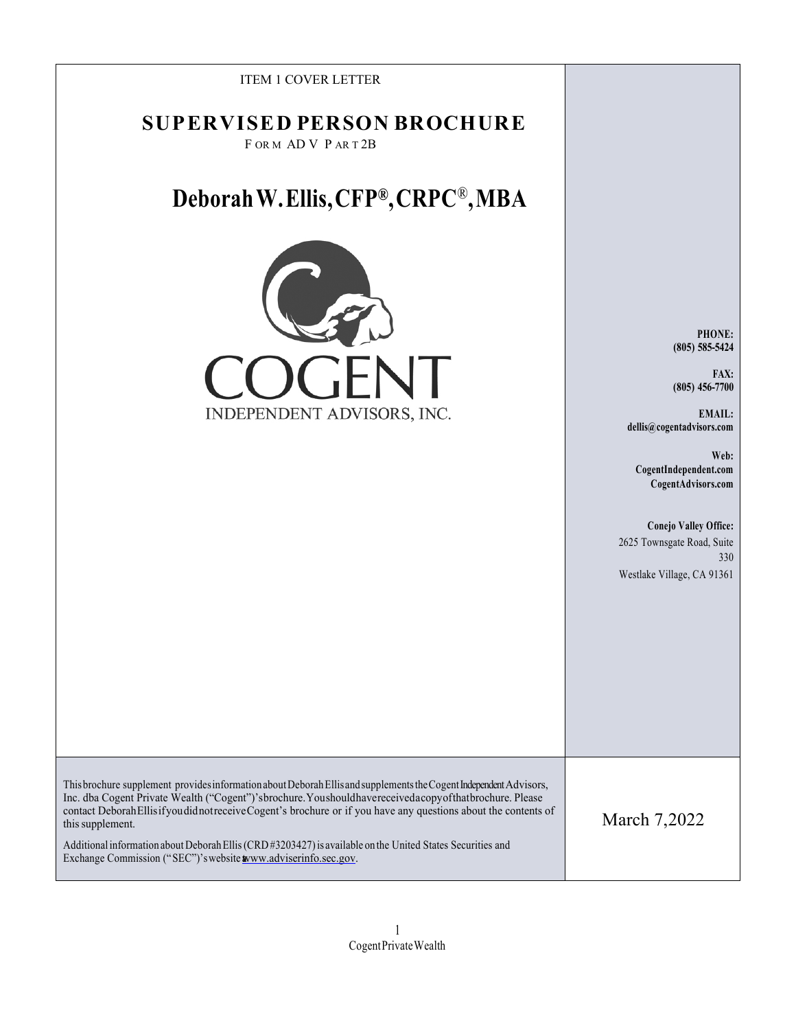| <b>ITEM 1 COVER LETTER</b>                                                                                                                                                                                                                                                                                                                                                                                                                                                                                                                          |                                                                                                                                                                                                                                                      |
|-----------------------------------------------------------------------------------------------------------------------------------------------------------------------------------------------------------------------------------------------------------------------------------------------------------------------------------------------------------------------------------------------------------------------------------------------------------------------------------------------------------------------------------------------------|------------------------------------------------------------------------------------------------------------------------------------------------------------------------------------------------------------------------------------------------------|
| <b>SUPERVISED PERSON BROCHURE</b><br>FORM ADV PART2B                                                                                                                                                                                                                                                                                                                                                                                                                                                                                                |                                                                                                                                                                                                                                                      |
| Deborah W. Ellis, CFP®, CRPC®, MBA                                                                                                                                                                                                                                                                                                                                                                                                                                                                                                                  |                                                                                                                                                                                                                                                      |
| INDEPENDENT ADVISORS, INC.                                                                                                                                                                                                                                                                                                                                                                                                                                                                                                                          | PHONE:<br>$(805) 585 - 5424$<br>FAX:<br>$(805) 456 - 7700$<br>EMAIL:<br>dellis@cogentadvisors.com<br>Web:<br>CogentIndependent.com<br>CogentAdvisors.com<br>Conejo Valley Office:<br>2625 Townsgate Road, Suite<br>330<br>Westlake Village, CA 91361 |
| This brochure supplement provides information about Deborah Ellis and supplements the Cogent Independent Advisors,<br>Inc. dba Cogent Private Wealth ("Cogent")'sbrochure. Youshouldhavereceivedacopyofthatbrochure. Please<br>contact Deborah Ellis if you did not receive Cogent's brochure or if you have any questions about the contents of<br>this supplement.<br>Additional information about Deborah Ellis (CRD#3203427) is available on the United States Securities and<br>Exchange Commission ("SEC")'s website www.adviserinfo.sec.gov. | March 7,2022                                                                                                                                                                                                                                         |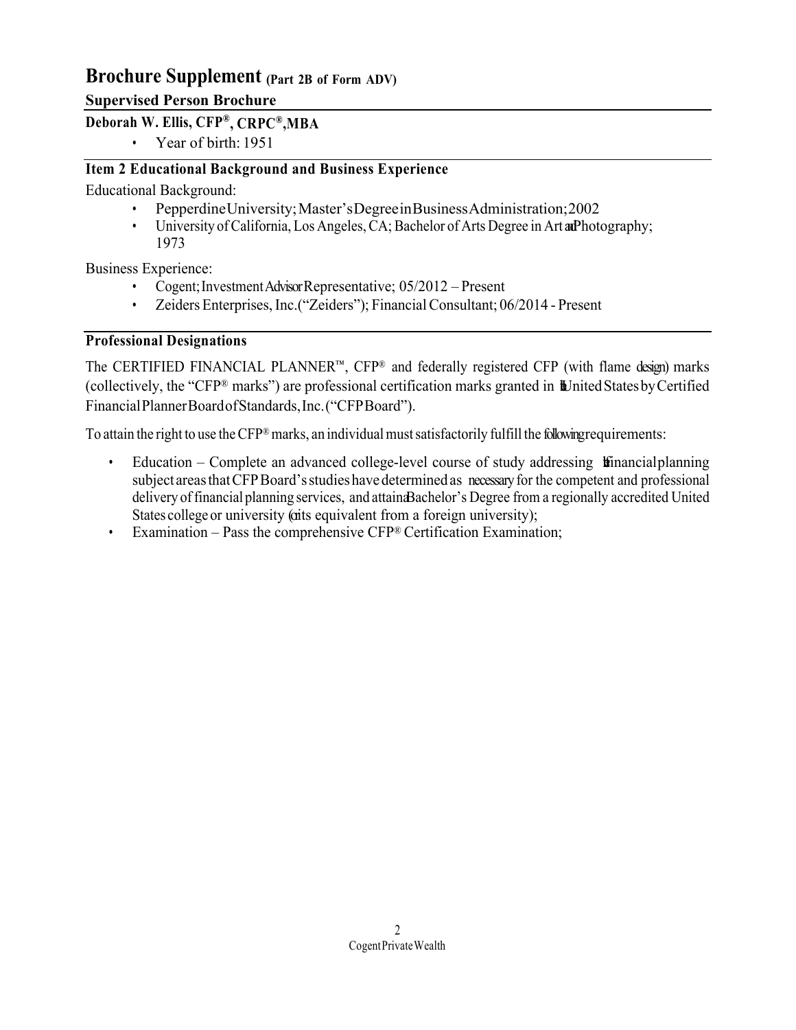## **Brochure Supplement (Part 2B of Form ADV)**

## **Supervised Person Brochure**

## **Deborah W. Ellis, CFP®, CRPC®,MBA**

• Year of birth: 1951

## **Item 2 Educational Background and Business Experience**

Educational Background:

- PepperdineUniversity;Master'sDegreeinBusinessAdministration;2002
- University of California, Los Angeles, CA; Bachelor of Arts Degree in Art and Photography; 1973

Business Experience:

- Cogent; Investment Advisor Representative; 05/2012 Present
- Zeiders Enterprises, Inc.("Zeiders"); Financial Consultant; 06/2014 Present

## **Professional Designations**

The CERTIFIED FINANCIAL PLANNER™, CFP® and federally registered CFP (with flame design) marks (collectively, the "CFP® marks") are professional certification marks granted in  $\mathbb{L}$ Inited Statesby Certified FinancialPlannerBoardofStandards,Inc.("CFPBoard").

To attain the right to use the CFP® marks, an individual must satisfactorily fulfill the following requirements:

- Education Complete an advanced college-level course of study addressing  $\mathbf{t}$  inancialplanning subject areas that CFP Board's studies have determined as necessary for the competent and professional delivery offinancial planning services, and attainaBachelor's Degree from a regionally accredited United States college or university (oits equivalent from a foreign university);
- Examination Pass the comprehensive CFP® Certification Examination;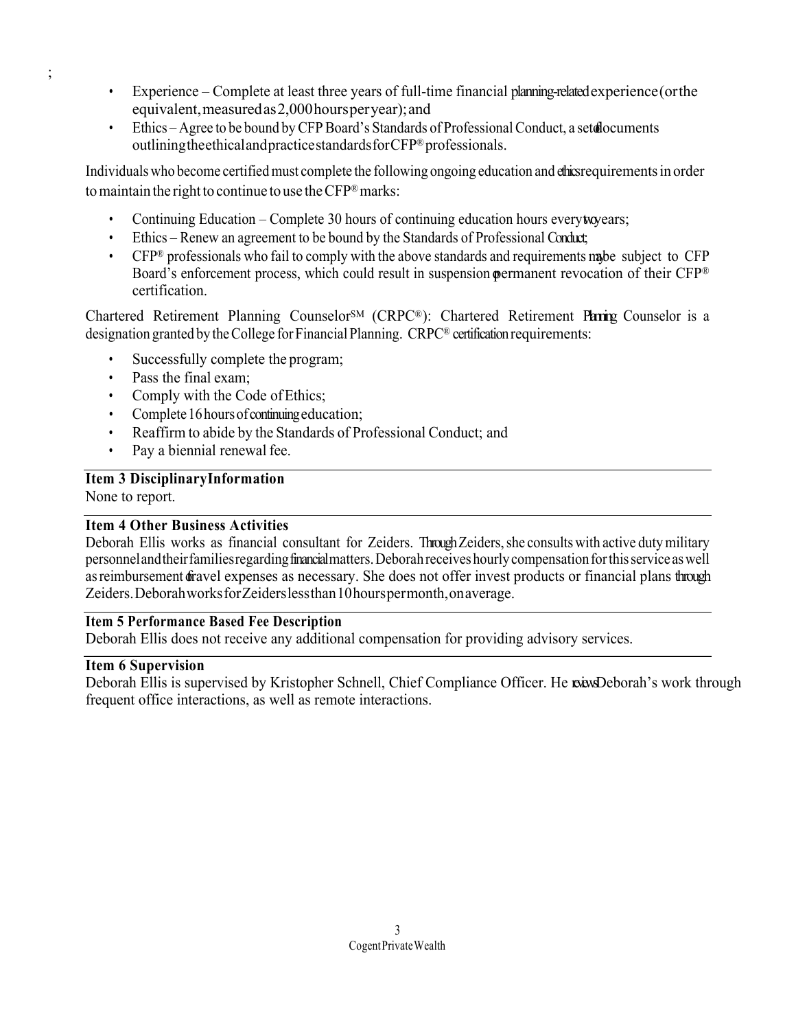- Experience Complete at least three years of full-time financial planning-related experience(orthe equivalent,measuredas2,000hoursperyear);and
- Ethics Agree to be bound by CFP Board's Standards of Professional Conduct, a set documents outliningtheethicalandpracticestandardsforCFP®professionals.

Individuals who become certified must complete the following ongoing education and chics requirements in order to maintain the right to continue to use the  $CFP^{\otimes}$  marks:

- Continuing Education Complete 30 hours of continuing education hours everytwo ears;
- Ethics Renew an agreement to be bound by the Standards of Professional Conduct;
- CFP<sup>®</sup> professionals who fail to comply with the above standards and requirements may be subject to CFP Board's enforcement process, which could result in suspension **p**ermanent revocation of their CFP<sup>®</sup> certification.

Chartered Retirement Planning Counselor<sup>SM</sup> (CRPC®): Chartered Retirement Paring Counselor is a designation granted by theCollege forFinancial Planning. CRPC® certification requirements:

- Successfully complete the program;
- Pass the final exam;
- Comply with the Code of Ethics:
- Complete 16 hours of continuing education;
- Reaffirm to abide by the Standards of Professional Conduct; and
- Pay a biennial renewal fee.

## **Item 3 DisciplinaryInformation**

None to report.

;

#### **Item 4 Other Business Activities**

Deborah Ellis works as financial consultant for Zeiders. Through Zeiders, she consults with active duty military personnelandtheirfamiliesregardingfinancial matters.Deborahreceiveshourlycompensationforthisservice aswell as reimbursement of ravel expenses as necessary. She does not offer invest products or financial plans through Zeiders.DeborahworksforZeiderslessthan10hourspermonth,onaverage.

#### **Item 5 Performance Based Fee Description**

Deborah Ellis does not receive any additional compensation for providing advisory services.

#### **Item 6 Supervision**

Deborah Ellis is supervised by Kristopher Schnell, Chief Compliance Officer. He reviews Deborah's work through frequent office interactions, as well as remote interactions.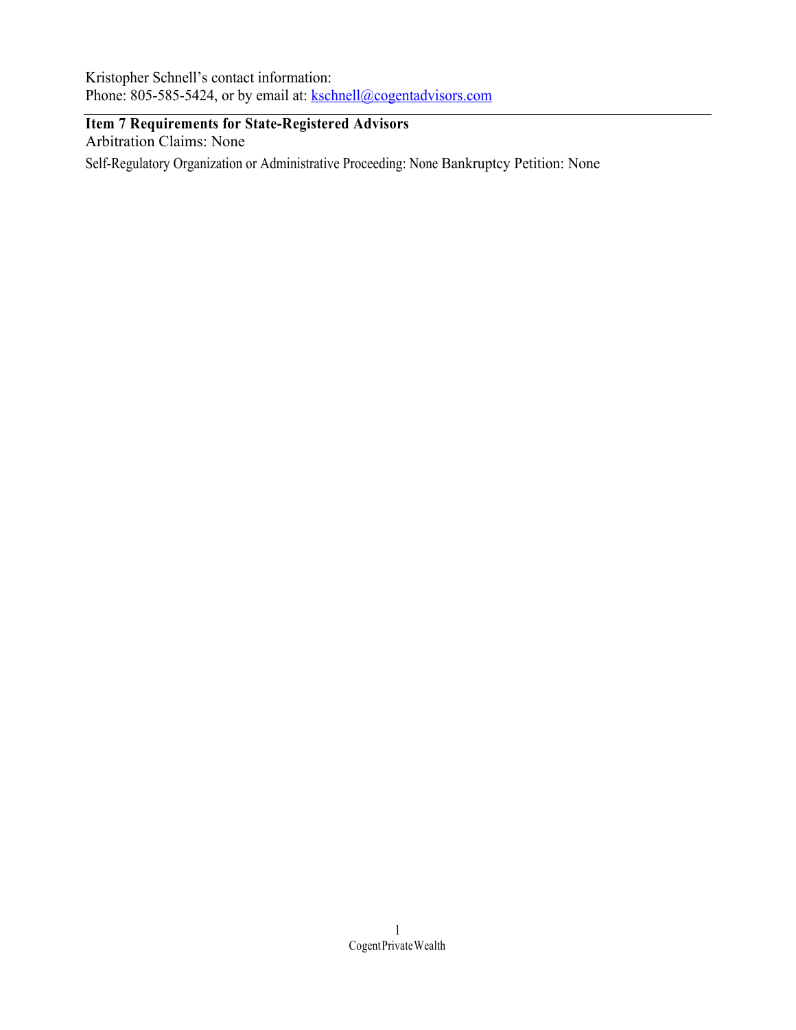Kristopher Schnell's contact information: Phone: 805-585-5424, or by email at: kschnell@cogentadvisors.com

## **Item 7 Requirements for State-Registered Advisors**

Arbitration Claims: None

Self-Regulatory Organization or Administrative Proceeding: None Bankruptcy Petition: None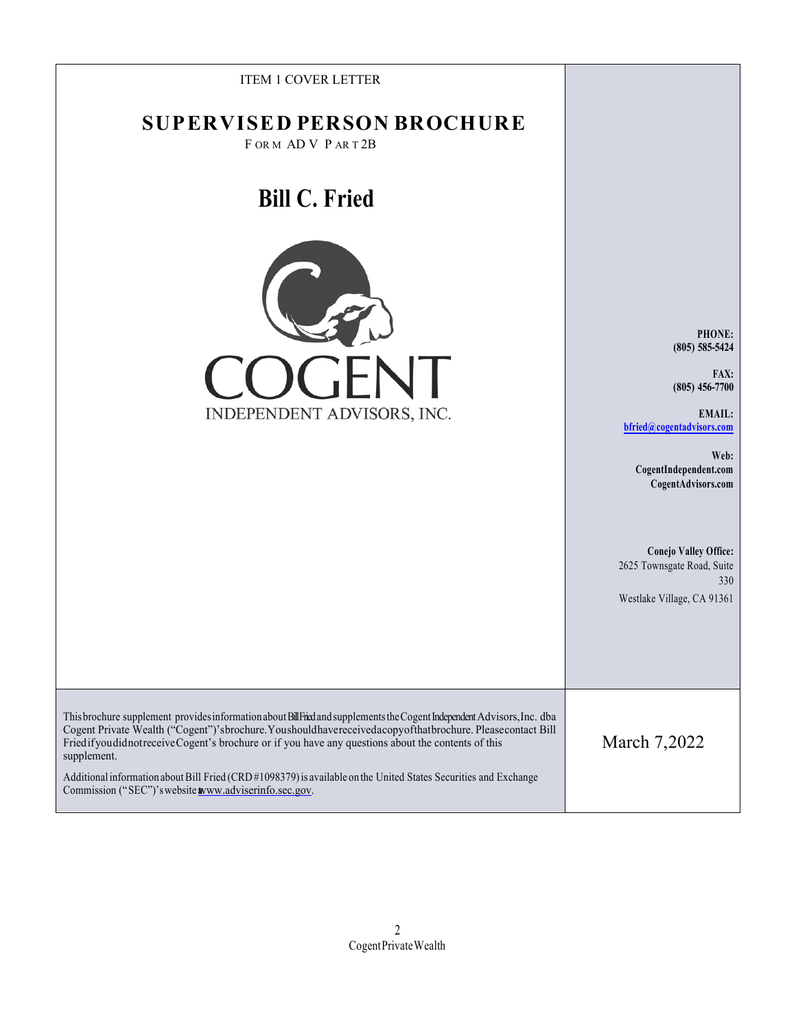| <b>ITEM 1 COVER LETTER</b><br><b>SUPERVISED PERSON BROCHURE</b>                                                                                                                                                                                                                                                                                                |                                                                                                 |
|----------------------------------------------------------------------------------------------------------------------------------------------------------------------------------------------------------------------------------------------------------------------------------------------------------------------------------------------------------------|-------------------------------------------------------------------------------------------------|
| FORM ADV PART2B                                                                                                                                                                                                                                                                                                                                                |                                                                                                 |
| <b>Bill C. Fried</b>                                                                                                                                                                                                                                                                                                                                           |                                                                                                 |
|                                                                                                                                                                                                                                                                                                                                                                | PHONE:<br>$(805) 585 - 5424$                                                                    |
| $\prod$                                                                                                                                                                                                                                                                                                                                                        | FAX:<br>$(805) 456 - 7700$                                                                      |
| INDEPENDENT ADVISORS, INC.                                                                                                                                                                                                                                                                                                                                     | <b>EMAIL:</b><br>bfried@cogentadvisors.com                                                      |
|                                                                                                                                                                                                                                                                                                                                                                | Web:<br>CogentIndependent.com<br>CogentAdvisors.com                                             |
|                                                                                                                                                                                                                                                                                                                                                                | <b>Conejo Valley Office:</b><br>2625 Townsgate Road, Suite<br>330<br>Westlake Village, CA 91361 |
|                                                                                                                                                                                                                                                                                                                                                                |                                                                                                 |
| This brochure supplement provides information about BillFried and supplements the Cogent Independent Advisors, Inc. dba<br>Cogent Private Wealth ("Cogent")'sbrochure. Youshould have received a copy of that brochure. Please contact Bill<br>FriedifyoudidnotreceiveCogent's brochure or if you have any questions about the contents of this<br>supplement. | March 7,2022                                                                                    |
| Additional information about Bill Fried (CRD#1098379) is available on the United States Securities and Exchange<br>Commission ("SEC")'s website www.adviserinfo.sec.gov.                                                                                                                                                                                       |                                                                                                 |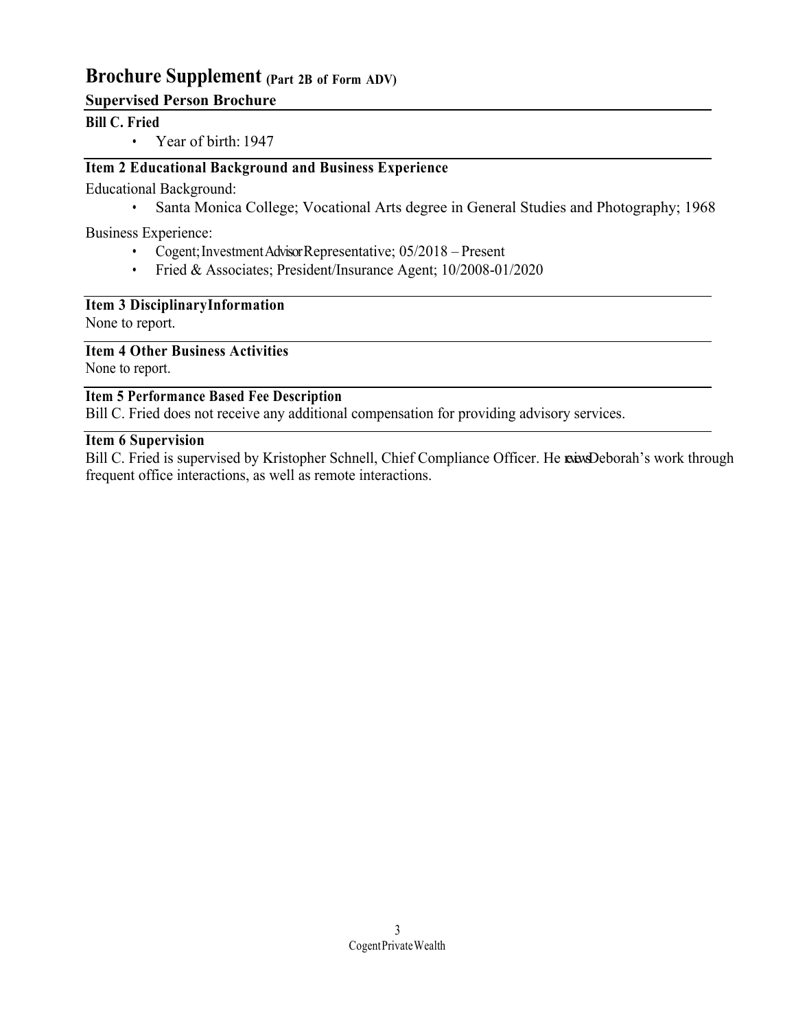## **Brochure Supplement (Part 2B of Form ADV)**

## **Supervised Person Brochure**

#### **Bill C. Fried**

• Year of birth: 1947

## **Item 2 Educational Background and Business Experience**

Educational Background:

• Santa Monica College; Vocational Arts degree in General Studies and Photography; 1968

Business Experience:

- Cogent; Investment Advisor Representative; 05/2018 Present
- Fried & Associates; President/Insurance Agent; 10/2008-01/2020

#### **Item 3 DisciplinaryInformation**

None to report.

**Item 4 Other Business Activities**

None to report.

#### **Item 5 Performance Based Fee Description**

Bill C. Fried does not receive any additional compensation for providing advisory services.

#### **Item 6 Supervision**

Bill C. Fried is supervised by Kristopher Schnell, Chief Compliance Officer. He reases Deborah's work through frequent office interactions, as well as remote interactions.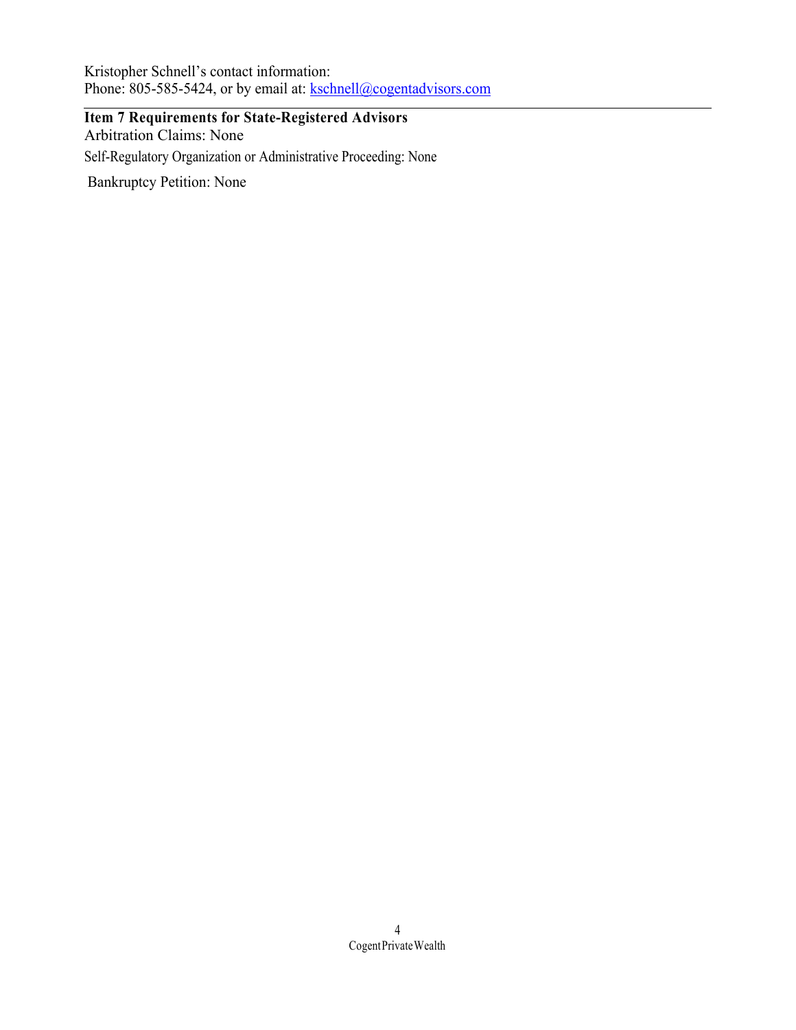Kristopher Schnell's contact information: Phone: 805-585-5424, or by email at: kschnell@cogentadvisors.com

**Item 7 Requirements for State-Registered Advisors** Arbitration Claims: None Self-Regulatory Organization or Administrative Proceeding: None Bankruptcy Petition: None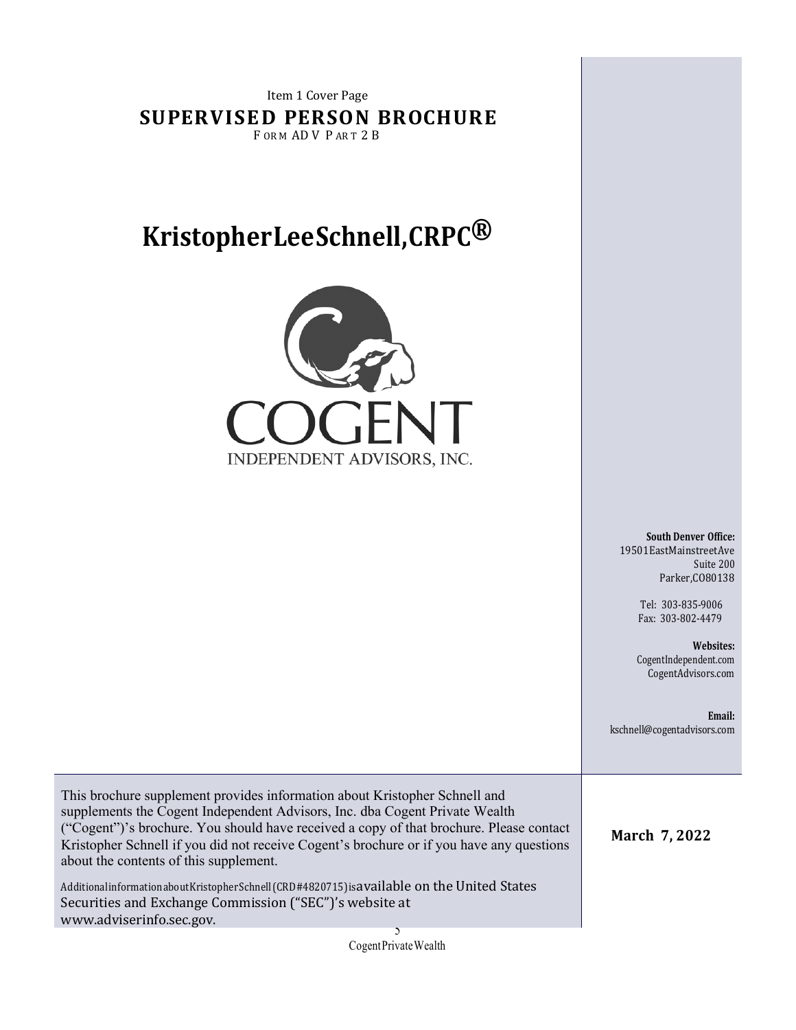Item 1 Cover Page **SUPERVISED PERSON BROCHURE** FORM ADV PART 2B

# **KristopherLeeSchnell,CRPC®**



**South Denver Office:** 19501EastMainstreetAve Suite 200 Parker,CO80138

> Tel: 303-835-9006 Fax: 303-802-4479

**Websites:**  CogentIndependent.com CogentAdvisors.com

**Email:** kschnell@cogentadvisors.com

**March 7, 2022**

This brochure supplement provides information about Kristopher Schnell and supplements the Cogent Independent Advisors, Inc. dba Cogent Private Wealth ("Cogent")'s brochure. You should have received a copy of that brochure. Please contact Kristopher Schnell if you did not receive Cogent's brochure or if you have any questions about the contents of this supplement.

AdditionalinformationaboutKristopherSchnell(CRD#4820715)isavailable on the United States Securities and Exchange Commission ("SEC")'s website at www.adviserinfo.sec.gov.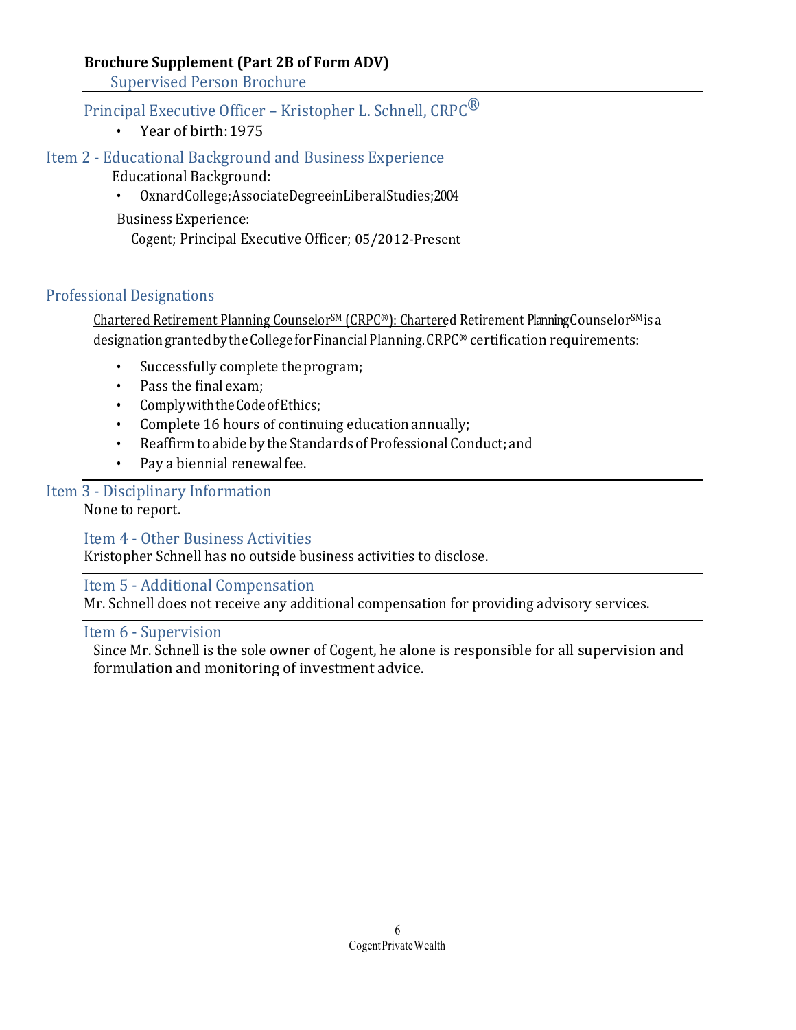## **Brochure Supplement (Part 2B of Form ADV)**

Supervised Person Brochure

## Principal Executive Officer - Kristopher L. Schnell, CRPC<sup>®</sup>

• Year of birth: 1975

Item 2 - Educational Background and Business Experience

Educational Background:

• OxnardCollege;AssociateDegreeinLiberalStudies;2004 

Business Experience:

Cogent; Principal Executive Officer; 05/2012-Present

#### Professional Designations

Chartered Retirement Planning CounselorSM (CRPC®): Chartered Retirement Planning CounselorSMisa designationgrantedbytheCollegeforFinancialPlanning.CRPC® certification requirements:

- Successfully complete the program;
- Pass the final exam;
- ComplywiththeCodeofEthics;
- Complete 16 hours of continuing education annually;
- Reaffirm to abide by the Standards of Professional Conduct; and
- Pay a biennial renewalfee.

## Item 3 - Disciplinary Information

None to report.

Item 4 - Other Business Activities

Kristopher Schnell has no outside business activities to disclose.

Item 5 - Additional Compensation

Mr. Schnell does not receive any additional compensation for providing advisory services.

#### Item 6 - Supervision

Since Mr. Schnell is the sole owner of Cogent, he alone is responsible for all supervision and formulation and monitoring of investment advice.